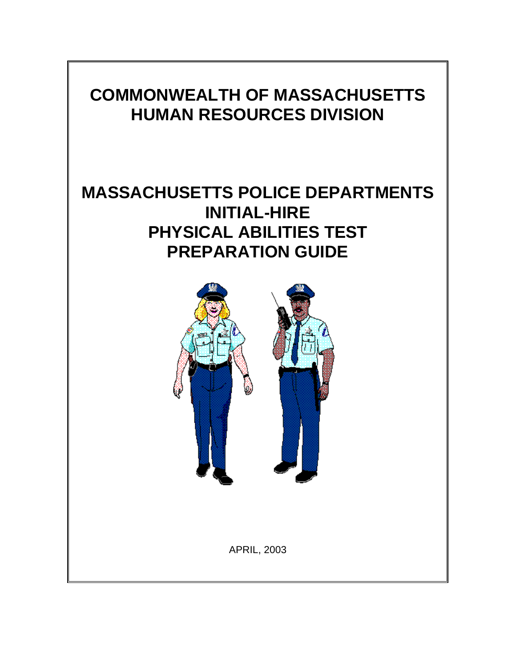# **COMMONWEALTH OF MASSACHUSETTS HUMAN RESOURCES DIVISION**

# **MASSACHUSETTS POLICE DEPARTMENTS INITIAL-HIRE PHYSICAL ABILITIES TEST PREPARATION GUIDE**

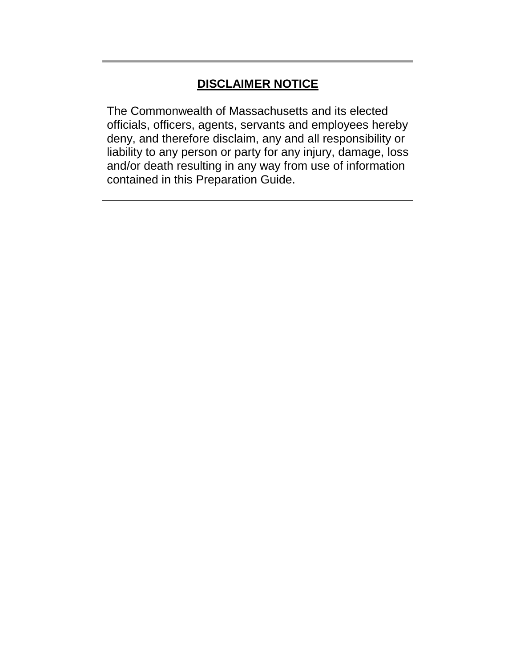# **DISCLAIMER NOTICE**

The Commonwealth of Massachusetts and its elected officials, officers, agents, servants and employees hereby deny, and therefore disclaim, any and all responsibility or liability to any person or party for any injury, damage, loss and/or death resulting in any way from use of information contained in this Preparation Guide.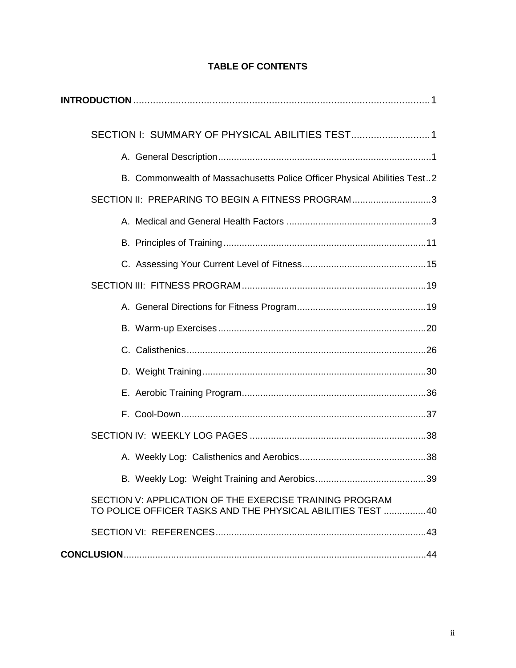| B. Commonwealth of Massachusetts Police Officer Physical Abilities Test2                                              |  |
|-----------------------------------------------------------------------------------------------------------------------|--|
| SECTION II: PREPARING TO BEGIN A FITNESS PROGRAM3                                                                     |  |
|                                                                                                                       |  |
|                                                                                                                       |  |
|                                                                                                                       |  |
|                                                                                                                       |  |
|                                                                                                                       |  |
|                                                                                                                       |  |
|                                                                                                                       |  |
|                                                                                                                       |  |
|                                                                                                                       |  |
|                                                                                                                       |  |
|                                                                                                                       |  |
|                                                                                                                       |  |
|                                                                                                                       |  |
| SECTION V: APPLICATION OF THE EXERCISE TRAINING PROGRAM<br>TO POLICE OFFICER TASKS AND THE PHYSICAL ABILITIES TEST 40 |  |
|                                                                                                                       |  |
|                                                                                                                       |  |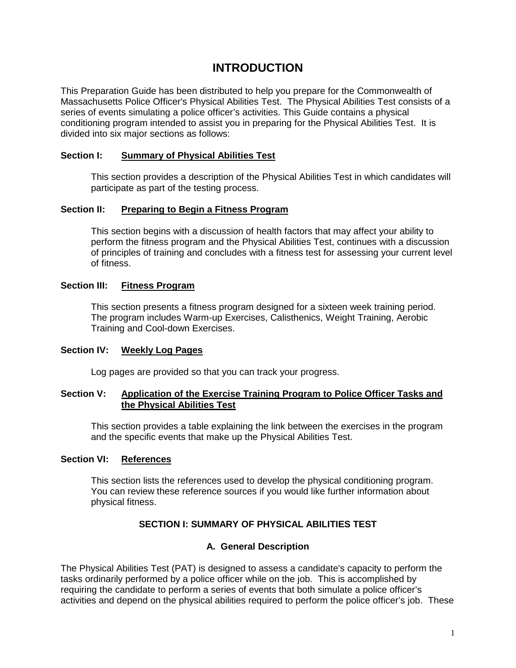# **INTRODUCTION**

This Preparation Guide has been distributed to help you prepare for the Commonwealth of Massachusetts Police Officer's Physical Abilities Test. The Physical Abilities Test consists of a series of events simulating a police officer's activities. This Guide contains a physical conditioning program intended to assist you in preparing for the Physical Abilities Test. It is divided into six major sections as follows:

# **Section I: Summary of Physical Abilities Test**

This section provides a description of the Physical Abilities Test in which candidates will participate as part of the testing process.

#### **Section II: Preparing to Begin a Fitness Program**

This section begins with a discussion of health factors that may affect your ability to perform the fitness program and the Physical Abilities Test, continues with a discussion of principles of training and concludes with a fitness test for assessing your current level of fitness.

#### **Section III: Fitness Program**

This section presents a fitness program designed for a sixteen week training period. The program includes Warm-up Exercises, Calisthenics, Weight Training, Aerobic Training and Cool-down Exercises.

# **Section IV: Weekly Log Pages**

Log pages are provided so that you can track your progress.

#### **Section V: Application of the Exercise Training Program to Police Officer Tasks and the Physical Abilities Test**

This section provides a table explaining the link between the exercises in the program and the specific events that make up the Physical Abilities Test.

#### **Section VI: References**

This section lists the references used to develop the physical conditioning program. You can review these reference sources if you would like further information about physical fitness.

# **SECTION I: SUMMARY OF PHYSICAL ABILITIES TEST**

#### **A. General Description**

The Physical Abilities Test (PAT) is designed to assess a candidate's capacity to perform the tasks ordinarily performed by a police officer while on the job. This is accomplished by requiring the candidate to perform a series of events that both simulate a police officer's activities and depend on the physical abilities required to perform the police officer's job. These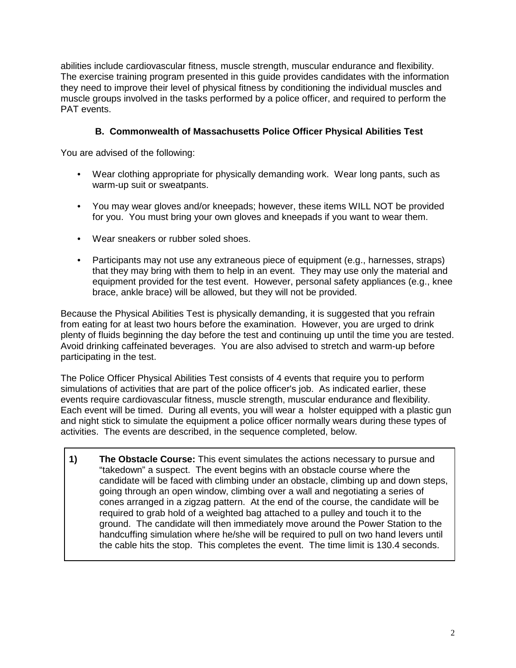abilities include cardiovascular fitness, muscle strength, muscular endurance and flexibility. The exercise training program presented in this guide provides candidates with the information they need to improve their level of physical fitness by conditioning the individual muscles and muscle groups involved in the tasks performed by a police officer, and required to perform the PAT events.

# **B. Commonwealth of Massachusetts Police Officer Physical Abilities Test**

You are advised of the following:

- Wear clothing appropriate for physically demanding work. Wear long pants, such as warm-up suit or sweatpants.
- You may wear gloves and/or kneepads; however, these items WILL NOT be provided for you. You must bring your own gloves and kneepads if you want to wear them.
- Wear sneakers or rubber soled shoes.
- Participants may not use any extraneous piece of equipment (e.g., harnesses, straps) that they may bring with them to help in an event. They may use only the material and equipment provided for the test event. However, personal safety appliances (e.g., knee brace, ankle brace) will be allowed, but they will not be provided.

Because the Physical Abilities Test is physically demanding, it is suggested that you refrain from eating for at least two hours before the examination. However, you are urged to drink plenty of fluids beginning the day before the test and continuing up until the time you are tested. Avoid drinking caffeinated beverages. You are also advised to stretch and warm-up before participating in the test.

The Police Officer Physical Abilities Test consists of 4 events that require you to perform simulations of activities that are part of the police officer's job. As indicated earlier, these events require cardiovascular fitness, muscle strength, muscular endurance and flexibility. Each event will be timed. During all events, you will wear a holster equipped with a plastic gun and night stick to simulate the equipment a police officer normally wears during these types of activities. The events are described, in the sequence completed, below.

**1) The Obstacle Course:** This event simulates the actions necessary to pursue and "takedown" a suspect. The event begins with an obstacle course where the candidate will be faced with climbing under an obstacle, climbing up and down steps, going through an open window, climbing over a wall and negotiating a series of cones arranged in a zigzag pattern. At the end of the course, the candidate will be required to grab hold of a weighted bag attached to a pulley and touch it to the ground. The candidate will then immediately move around the Power Station to the handcuffing simulation where he/she will be required to pull on two hand levers until the cable hits the stop. This completes the event. The time limit is 130.4 seconds.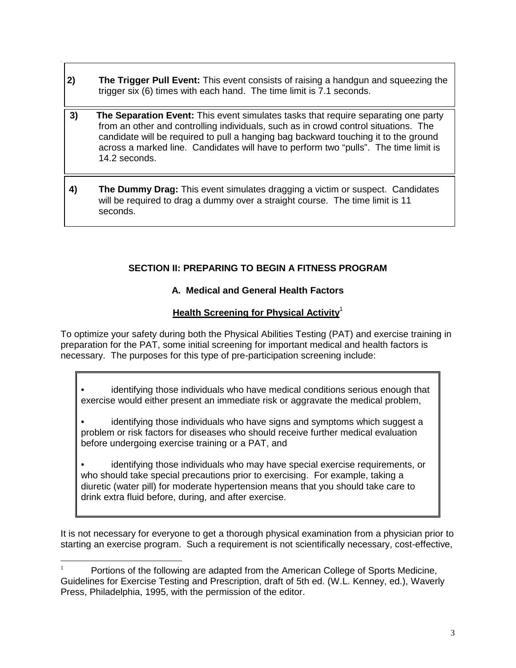- **2) The Trigger Pull Event:** This event consists of raising a handgun and squeezing the trigger six (6) times with each hand. The time limit is 7.1 seconds.
- **3) The Separation Event:** This event simulates tasks that require separating one party from an other and controlling individuals, such as in crowd control situations. The candidate will be required to pull a hanging bag backward touching it to the ground across a marked line. Candidates will have to perform two "pulls". The time limit is 14.2 seconds.
- **4) The Dummy Drag:** This event simulates dragging a victim or suspect. Candidates will be required to drag a dummy over a straight course. The time limit is 11 seconds.

# **SECTION II: PREPARING TO BEGIN A FITNESS PROGRAM**

# **A. Medical and General Health Factors**

# **Health Screening for Physical Activity**<sup>1</sup>

To optimize your safety during both the Physical Abilities Testing (PAT) and exercise training in preparation for the PAT, some initial screening for important medical and health factors is necessary. The purposes for this type of pre-participation screening include:

• identifying those individuals who have medical conditions serious enough that exercise would either present an immediate risk or aggravate the medical problem,

identifying those individuals who have signs and symptoms which suggest a problem or risk factors for diseases who should receive further medical evaluation before undergoing exercise training or a PAT, and

• identifying those individuals who may have special exercise requirements, or who should take special precautions prior to exercising. For example, taking a diuretic (water pill) for moderate hypertension means that you should take care to drink extra fluid before, during, and after exercise.

It is not necessary for everyone to get a thorough physical examination from a physician prior to starting an exercise program. Such a requirement is not scientifically necessary, cost-effective,

Portions of the following are adapted from the American College of Sports Medicine, Guidelines for Exercise Testing and Prescription, draft of 5th ed. (W.L. Kenney, ed.), Waverly Press, Philadelphia, 1995, with the permission of the editor.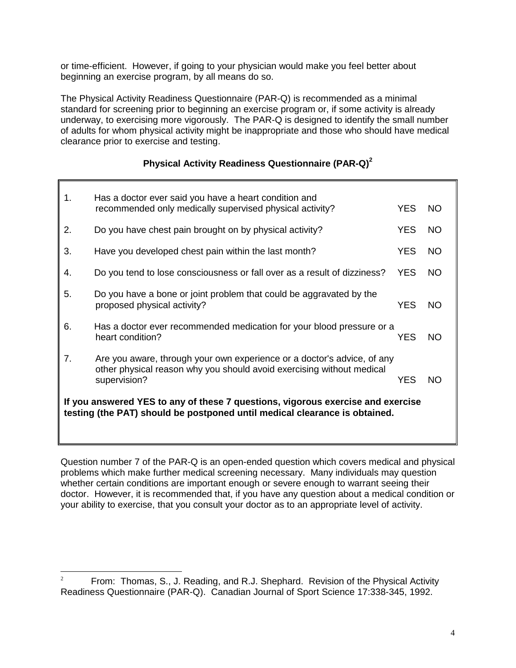or time-efficient. However, if going to your physician would make you feel better about beginning an exercise program, by all means do so.

The Physical Activity Readiness Questionnaire (PAR-Q) is recommended as a minimal standard for screening prior to beginning an exercise program or, if some activity is already underway, to exercising more vigorously. The PAR-Q is designed to identify the small number of adults for whom physical activity might be inappropriate and those who should have medical clearance prior to exercise and testing.

# **Physical Activity Readiness Questionnaire (PAR-Q)<sup>2</sup>**

| 1. | Has a doctor ever said you have a heart condition and<br>recommended only medically supervised physical activity?                                                | YES.       | NO.       |
|----|------------------------------------------------------------------------------------------------------------------------------------------------------------------|------------|-----------|
| 2. | Do you have chest pain brought on by physical activity?                                                                                                          | YES.       | NO.       |
| 3. | Have you developed chest pain within the last month?                                                                                                             | YES.       | <b>NO</b> |
| 4. | Do you tend to lose consciousness or fall over as a result of dizziness?                                                                                         | <b>YES</b> | NO.       |
| 5. | Do you have a bone or joint problem that could be aggravated by the<br>proposed physical activity?                                                               | <b>YES</b> | <b>NO</b> |
| 6. | Has a doctor ever recommended medication for your blood pressure or a<br>heart condition?                                                                        | <b>YES</b> | NO.       |
| 7. | Are you aware, through your own experience or a doctor's advice, of any<br>other physical reason why you should avoid exercising without medical<br>supervision? | YES        | NO.       |
|    | If you answered YES to any of these 7 questions, vigorous exercise and exercise<br>testing (the PAT) should be postponed until medical clearance is obtained.    |            |           |

Question number 7 of the PAR-Q is an open-ended question which covers medical and physical problems which make further medical screening necessary. Many individuals may question whether certain conditions are important enough or severe enough to warrant seeing their doctor. However, it is recommended that, if you have any question about a medical condition or your ability to exercise, that you consult your doctor as to an appropriate level of activity.

<sup>&</sup>lt;sup>2</sup> From: Thomas, S., J. Reading, and R.J. Shephard. Revision of the Physical Activity Readiness Questionnaire (PAR-Q). Canadian Journal of Sport Science 17:338-345, 1992.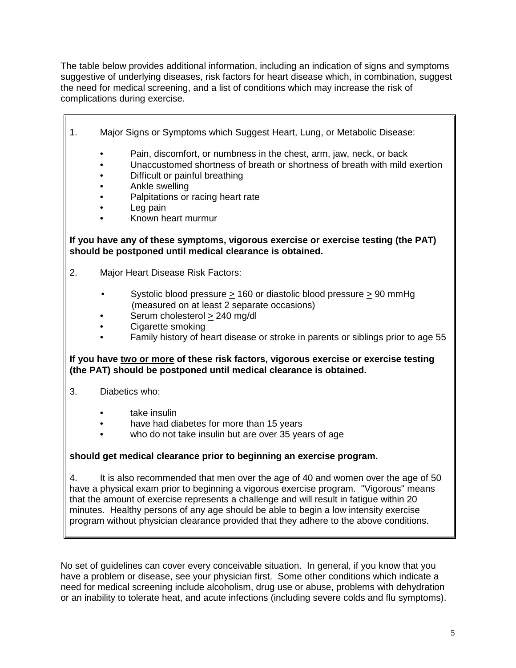The table below provides additional information, including an indication of signs and symptoms suggestive of underlying diseases, risk factors for heart disease which, in combination, suggest the need for medical screening, and a list of conditions which may increase the risk of complications during exercise.

- 1. Major Signs or Symptoms which Suggest Heart, Lung, or Metabolic Disease:
	- Pain, discomfort, or numbness in the chest, arm, jaw, neck, or back
	- Unaccustomed shortness of breath or shortness of breath with mild exertion
	- Difficult or painful breathing
	- Ankle swelling
	- Palpitations or racing heart rate
	- Leg pain
	- Known heart murmur

# **If you have any of these symptoms, vigorous exercise or exercise testing (the PAT) should be postponed until medical clearance is obtained.**

- 2. Major Heart Disease Risk Factors:
	- Systolic blood pressure  $\geq 160$  or diastolic blood pressure  $\geq 90$  mmHg (measured on at least 2 separate occasions)
	- Serum cholesterol > 240 mg/dl
	- Cigarette smoking
	- Family history of heart disease or stroke in parents or siblings prior to age 55

# **If you have two or more of these risk factors, vigorous exercise or exercise testing (the PAT) should be postponed until medical clearance is obtained.**

- 3. Diabetics who:
	- take insulin
	- have had diabetes for more than 15 years
	- who do not take insulin but are over 35 years of age

# **should get medical clearance prior to beginning an exercise program.**

4. It is also recommended that men over the age of 40 and women over the age of 50 have a physical exam prior to beginning a vigorous exercise program. "Vigorous" means that the amount of exercise represents a challenge and will result in fatigue within 20 minutes. Healthy persons of any age should be able to begin a low intensity exercise program without physician clearance provided that they adhere to the above conditions.

No set of guidelines can cover every conceivable situation. In general, if you know that you have a problem or disease, see your physician first. Some other conditions which indicate a need for medical screening include alcoholism, drug use or abuse, problems with dehydration or an inability to tolerate heat, and acute infections (including severe colds and flu symptoms).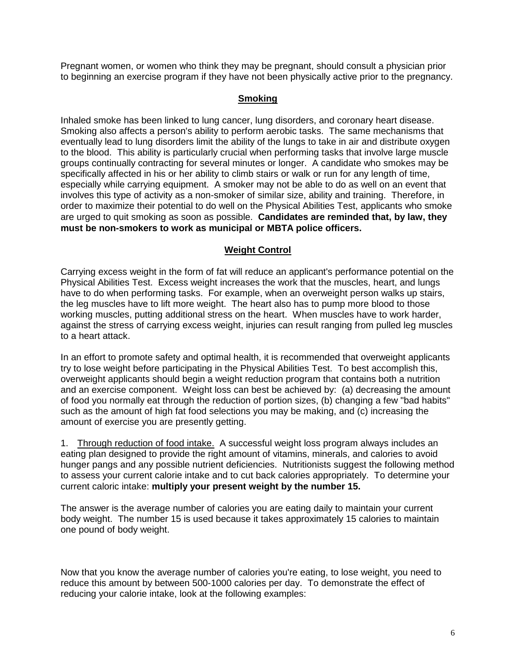Pregnant women, or women who think they may be pregnant, should consult a physician prior to beginning an exercise program if they have not been physically active prior to the pregnancy.

# **Smoking**

Inhaled smoke has been linked to lung cancer, lung disorders, and coronary heart disease. Smoking also affects a person's ability to perform aerobic tasks. The same mechanisms that eventually lead to lung disorders limit the ability of the lungs to take in air and distribute oxygen to the blood. This ability is particularly crucial when performing tasks that involve large muscle groups continually contracting for several minutes or longer. A candidate who smokes may be specifically affected in his or her ability to climb stairs or walk or run for any length of time, especially while carrying equipment. A smoker may not be able to do as well on an event that involves this type of activity as a non-smoker of similar size, ability and training. Therefore, in order to maximize their potential to do well on the Physical Abilities Test, applicants who smoke are urged to quit smoking as soon as possible. **Candidates are reminded that, by law, they must be non-smokers to work as municipal or MBTA police officers.**

# **Weight Control**

Carrying excess weight in the form of fat will reduce an applicant's performance potential on the Physical Abilities Test. Excess weight increases the work that the muscles, heart, and lungs have to do when performing tasks. For example, when an overweight person walks up stairs, the leg muscles have to lift more weight. The heart also has to pump more blood to those working muscles, putting additional stress on the heart. When muscles have to work harder, against the stress of carrying excess weight, injuries can result ranging from pulled leg muscles to a heart attack.

In an effort to promote safety and optimal health, it is recommended that overweight applicants try to lose weight before participating in the Physical Abilities Test. To best accomplish this, overweight applicants should begin a weight reduction program that contains both a nutrition and an exercise component. Weight loss can best be achieved by: (a) decreasing the amount of food you normally eat through the reduction of portion sizes, (b) changing a few "bad habits" such as the amount of high fat food selections you may be making, and (c) increasing the amount of exercise you are presently getting.

1. Through reduction of food intake. A successful weight loss program always includes an eating plan designed to provide the right amount of vitamins, minerals, and calories to avoid hunger pangs and any possible nutrient deficiencies. Nutritionists suggest the following method to assess your current calorie intake and to cut back calories appropriately. To determine your current caloric intake: **multiply your present weight by the number 15.**

The answer is the average number of calories you are eating daily to maintain your current body weight. The number 15 is used because it takes approximately 15 calories to maintain one pound of body weight.

Now that you know the average number of calories you're eating, to lose weight, you need to reduce this amount by between 500-1000 calories per day. To demonstrate the effect of reducing your calorie intake, look at the following examples: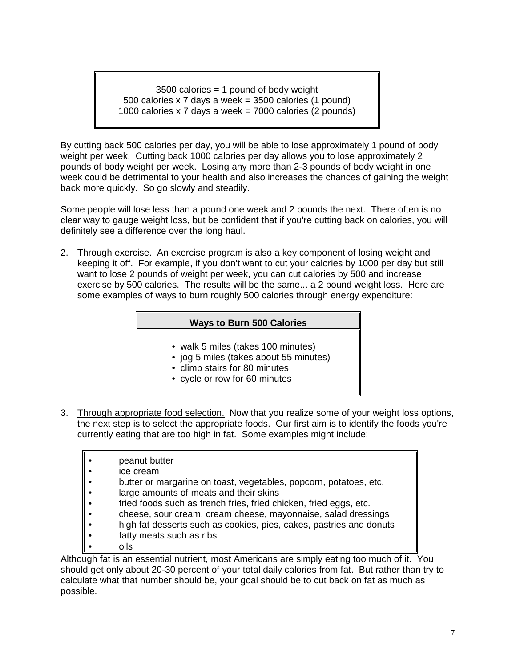3500 calories = 1 pound of body weight 500 calories x 7 days a week = 3500 calories (1 pound) 1000 calories x 7 days a week = 7000 calories (2 pounds)

By cutting back 500 calories per day, you will be able to lose approximately 1 pound of body weight per week. Cutting back 1000 calories per day allows you to lose approximately 2 pounds of body weight per week. Losing any more than 2-3 pounds of body weight in one week could be detrimental to your health and also increases the chances of gaining the weight back more quickly. So go slowly and steadily.

Some people will lose less than a pound one week and 2 pounds the next. There often is no clear way to gauge weight loss, but be confident that if you're cutting back on calories, you will definitely see a difference over the long haul.

2. Through exercise. An exercise program is also a key component of losing weight and keeping it off. For example, if you don't want to cut your calories by 1000 per day but still want to lose 2 pounds of weight per week, you can cut calories by 500 and increase exercise by 500 calories. The results will be the same... a 2 pound weight loss. Here are some examples of ways to burn roughly 500 calories through energy expenditure:

# **Ways to Burn 500 Calories**

- walk 5 miles (takes 100 minutes)
- jog 5 miles (takes about 55 minutes)
- climb stairs for 80 minutes
- cycle or row for 60 minutes
- 3. Through appropriate food selection. Now that you realize some of your weight loss options, the next step is to select the appropriate foods. Our first aim is to identify the foods you're currently eating that are too high in fat. Some examples might include:
	- peanut butter
	- ice cream
	- butter or margarine on toast, vegetables, popcorn, potatoes, etc.
	- large amounts of meats and their skins
	- fried foods such as french fries, fried chicken, fried eggs, etc.
	- cheese, sour cream, cream cheese, mayonnaise, salad dressings
	- high fat desserts such as cookies, pies, cakes, pastries and donuts
	- fatty meats such as ribs
	- oils

Although fat is an essential nutrient, most Americans are simply eating too much of it. You should get only about 20-30 percent of your total daily calories from fat. But rather than try to calculate what that number should be, your goal should be to cut back on fat as much as possible.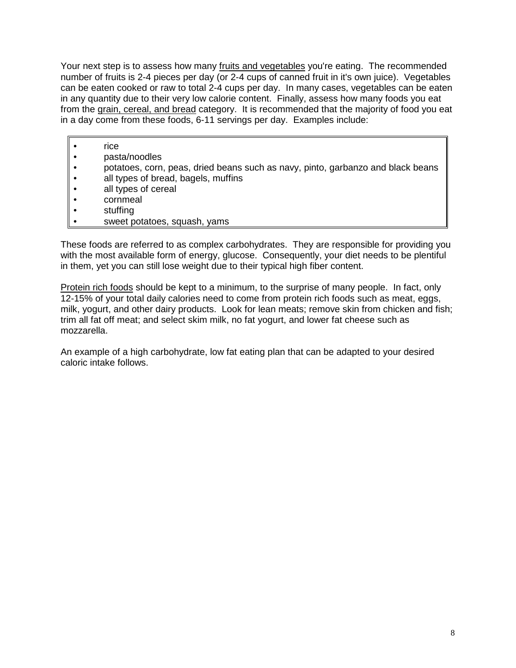Your next step is to assess how many fruits and vegetables you're eating. The recommended number of fruits is 2-4 pieces per day (or 2-4 cups of canned fruit in it's own juice). Vegetables can be eaten cooked or raw to total 2-4 cups per day. In many cases, vegetables can be eaten in any quantity due to their very low calorie content. Finally, assess how many foods you eat from the grain, cereal, and bread category. It is recommended that the majority of food you eat in a day come from these foods, 6-11 servings per day. Examples include:

- rice
- pasta/noodles
- potatoes, corn, peas, dried beans such as navy, pinto, garbanzo and black beans
- all types of bread, bagels, muffins
- all types of cereal
- cornmeal
- stuffing
- sweet potatoes, squash, yams

These foods are referred to as complex carbohydrates. They are responsible for providing you with the most available form of energy, glucose. Consequently, your diet needs to be plentiful in them, yet you can still lose weight due to their typical high fiber content.

Protein rich foods should be kept to a minimum, to the surprise of many people. In fact, only 12-15% of your total daily calories need to come from protein rich foods such as meat, eggs, milk, yogurt, and other dairy products. Look for lean meats; remove skin from chicken and fish; trim all fat off meat; and select skim milk, no fat yogurt, and lower fat cheese such as mozzarella.

An example of a high carbohydrate, low fat eating plan that can be adapted to your desired caloric intake follows.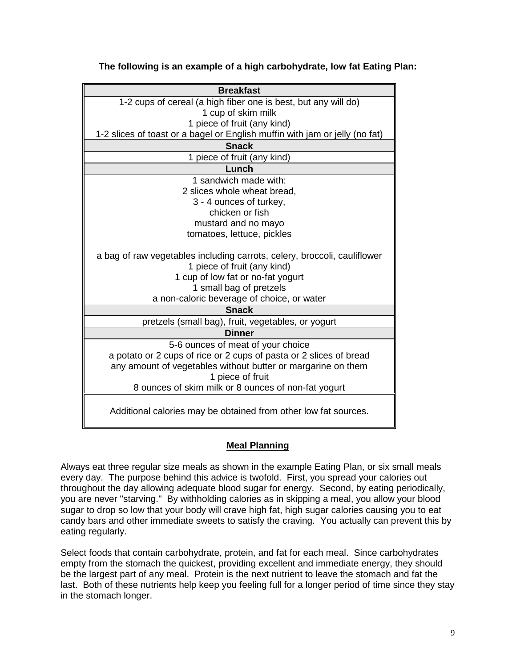| <b>Breakfast</b>                                                            |
|-----------------------------------------------------------------------------|
| 1-2 cups of cereal (a high fiber one is best, but any will do)              |
| 1 cup of skim milk                                                          |
| 1 piece of fruit (any kind)                                                 |
| 1-2 slices of toast or a bagel or English muffin with jam or jelly (no fat) |
| <b>Snack</b>                                                                |
| 1 piece of fruit (any kind)                                                 |
| Lunch                                                                       |
| 1 sandwich made with:                                                       |
| 2 slices whole wheat bread,                                                 |
| 3 - 4 ounces of turkey,                                                     |
| chicken or fish                                                             |
| mustard and no mayo                                                         |
| tomatoes, lettuce, pickles                                                  |
|                                                                             |
| a bag of raw vegetables including carrots, celery, broccoli, cauliflower    |
| 1 piece of fruit (any kind)                                                 |
| 1 cup of low fat or no-fat yogurt                                           |
| 1 small bag of pretzels                                                     |
| a non-caloric beverage of choice, or water                                  |
| <b>Snack</b>                                                                |
| pretzels (small bag), fruit, vegetables, or yogurt                          |
| Dinner                                                                      |
| 5-6 ounces of meat of your choice                                           |
| a potato or 2 cups of rice or 2 cups of pasta or 2 slices of bread          |
| any amount of vegetables without butter or margarine on them                |
| 1 piece of fruit                                                            |
| 8 ounces of skim milk or 8 ounces of non-fat yogurt                         |
|                                                                             |
| Additional calories may be obtained from other low fat sources.             |
|                                                                             |

**The following is an example of a high carbohydrate, low fat Eating Plan:**

# **Meal Planning**

Always eat three regular size meals as shown in the example Eating Plan, or six small meals every day. The purpose behind this advice is twofold. First, you spread your calories out throughout the day allowing adequate blood sugar for energy. Second, by eating periodically, you are never "starving." By withholding calories as in skipping a meal, you allow your blood sugar to drop so low that your body will crave high fat, high sugar calories causing you to eat candy bars and other immediate sweets to satisfy the craving. You actually can prevent this by eating regularly.

Select foods that contain carbohydrate, protein, and fat for each meal. Since carbohydrates empty from the stomach the quickest, providing excellent and immediate energy, they should be the largest part of any meal. Protein is the next nutrient to leave the stomach and fat the last. Both of these nutrients help keep you feeling full for a longer period of time since they stay in the stomach longer.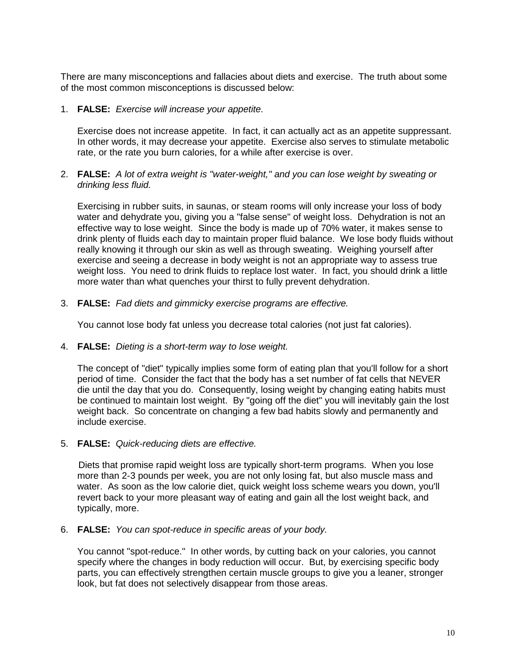There are many misconceptions and fallacies about diets and exercise. The truth about some of the most common misconceptions is discussed below:

1. **FALSE:** *Exercise will increase your appetite.*

Exercise does not increase appetite. In fact, it can actually act as an appetite suppressant. In other words, it may decrease your appetite. Exercise also serves to stimulate metabolic rate, or the rate you burn calories, for a while after exercise is over.

2. **FALSE:** *A lot of extra weight is "water-weight," and you can lose weight by sweating or drinking less fluid.*

Exercising in rubber suits, in saunas, or steam rooms will only increase your loss of body water and dehydrate you, giving you a "false sense" of weight loss. Dehydration is not an effective way to lose weight. Since the body is made up of 70% water, it makes sense to drink plenty of fluids each day to maintain proper fluid balance. We lose body fluids without really knowing it through our skin as well as through sweating. Weighing yourself after exercise and seeing a decrease in body weight is not an appropriate way to assess true weight loss. You need to drink fluids to replace lost water. In fact, you should drink a little more water than what quenches your thirst to fully prevent dehydration.

3. **FALSE:** *Fad diets and gimmicky exercise programs are effective.*

You cannot lose body fat unless you decrease total calories (not just fat calories).

4. **FALSE:** *Dieting is a short-term way to lose weight.*

The concept of "diet" typically implies some form of eating plan that you'll follow for a short period of time. Consider the fact that the body has a set number of fat cells that NEVER die until the day that you do. Consequently, losing weight by changing eating habits must be continued to maintain lost weight. By "going off the diet" you will inevitably gain the lost weight back. So concentrate on changing a few bad habits slowly and permanently and include exercise.

5. **FALSE:** *Quick-reducing diets are effective.*

Diets that promise rapid weight loss are typically short-term programs. When you lose more than 2-3 pounds per week, you are not only losing fat, but also muscle mass and water. As soon as the low calorie diet, quick weight loss scheme wears you down, you'll revert back to your more pleasant way of eating and gain all the lost weight back, and typically, more.

6. **FALSE:** *You can spot-reduce in specific areas of your body.*

You cannot "spot-reduce." In other words, by cutting back on your calories, you cannot specify where the changes in body reduction will occur. But, by exercising specific body parts, you can effectively strengthen certain muscle groups to give you a leaner, stronger look, but fat does not selectively disappear from those areas.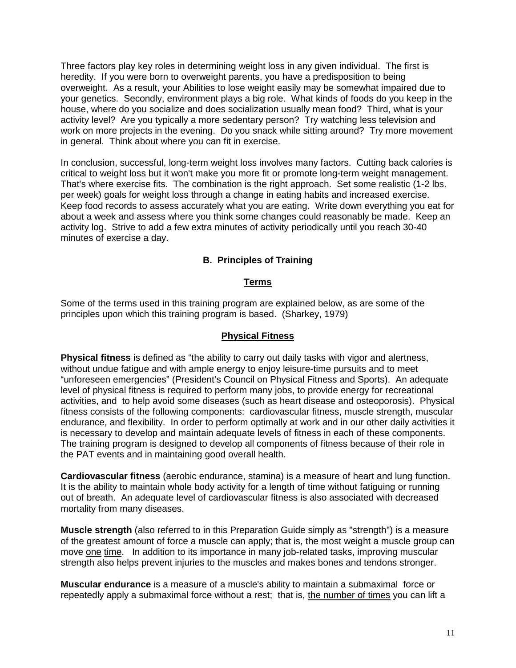Three factors play key roles in determining weight loss in any given individual. The first is heredity. If you were born to overweight parents, you have a predisposition to being overweight. As a result, your Abilities to lose weight easily may be somewhat impaired due to your genetics. Secondly, environment plays a big role. What kinds of foods do you keep in the house, where do you socialize and does socialization usually mean food? Third, what is your activity level? Are you typically a more sedentary person? Try watching less television and work on more projects in the evening. Do you snack while sitting around? Try more movement in general. Think about where you can fit in exercise.

In conclusion, successful, long-term weight loss involves many factors. Cutting back calories is critical to weight loss but it won't make you more fit or promote long-term weight management. That's where exercise fits. The combination is the right approach. Set some realistic (1-2 lbs. per week) goals for weight loss through a change in eating habits and increased exercise. Keep food records to assess accurately what you are eating. Write down everything you eat for about a week and assess where you think some changes could reasonably be made. Keep an activity log. Strive to add a few extra minutes of activity periodically until you reach 30-40 minutes of exercise a day.

# **B. Principles of Training**

# **Terms**

Some of the terms used in this training program are explained below, as are some of the principles upon which this training program is based. (Sharkey, 1979)

#### **Physical Fitness**

**Physical fitness** is defined as "the ability to carry out daily tasks with vigor and alertness, without undue fatigue and with ample energy to enjoy leisure-time pursuits and to meet "unforeseen emergencies" (President's Council on Physical Fitness and Sports). An adequate level of physical fitness is required to perform many jobs, to provide energy for recreational activities, and to help avoid some diseases (such as heart disease and osteoporosis). Physical fitness consists of the following components: cardiovascular fitness, muscle strength, muscular endurance, and flexibility. In order to perform optimally at work and in our other daily activities it is necessary to develop and maintain adequate levels of fitness in each of these components. The training program is designed to develop all components of fitness because of their role in the PAT events and in maintaining good overall health.

**Cardiovascular fitness** (aerobic endurance, stamina) is a measure of heart and lung function. It is the ability to maintain whole body activity for a length of time without fatiguing or running out of breath. An adequate level of cardiovascular fitness is also associated with decreased mortality from many diseases.

**Muscle strength** (also referred to in this Preparation Guide simply as "strength") is a measure of the greatest amount of force a muscle can apply; that is, the most weight a muscle group can move one time. In addition to its importance in many job-related tasks, improving muscular strength also helps prevent injuries to the muscles and makes bones and tendons stronger.

**Muscular endurance** is a measure of a muscle's ability to maintain a submaximal force or repeatedly apply a submaximal force without a rest; that is, the number of times you can lift a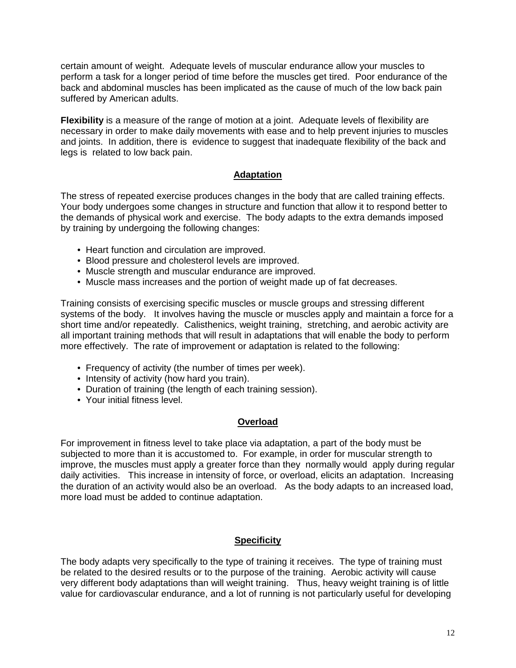certain amount of weight. Adequate levels of muscular endurance allow your muscles to perform a task for a longer period of time before the muscles get tired. Poor endurance of the back and abdominal muscles has been implicated as the cause of much of the low back pain suffered by American adults.

**Flexibility** is a measure of the range of motion at a joint. Adequate levels of flexibility are necessary in order to make daily movements with ease and to help prevent injuries to muscles and joints. In addition, there is evidence to suggest that inadequate flexibility of the back and legs is related to low back pain.

# **Adaptation**

The stress of repeated exercise produces changes in the body that are called training effects. Your body undergoes some changes in structure and function that allow it to respond better to the demands of physical work and exercise. The body adapts to the extra demands imposed by training by undergoing the following changes:

- Heart function and circulation are improved.
- Blood pressure and cholesterol levels are improved.
- Muscle strength and muscular endurance are improved.
- Muscle mass increases and the portion of weight made up of fat decreases.

Training consists of exercising specific muscles or muscle groups and stressing different systems of the body. It involves having the muscle or muscles apply and maintain a force for a short time and/or repeatedly. Calisthenics, weight training, stretching, and aerobic activity are all important training methods that will result in adaptations that will enable the body to perform more effectively. The rate of improvement or adaptation is related to the following:

- Frequency of activity (the number of times per week).
- Intensity of activity (how hard you train).
- Duration of training (the length of each training session).
- Your initial fitness level.

# **Overload**

For improvement in fitness level to take place via adaptation, a part of the body must be subjected to more than it is accustomed to. For example, in order for muscular strength to improve, the muscles must apply a greater force than they normally would apply during regular daily activities. This increase in intensity of force, or overload, elicits an adaptation. Increasing the duration of an activity would also be an overload. As the body adapts to an increased load, more load must be added to continue adaptation.

# **Specificity**

The body adapts very specifically to the type of training it receives. The type of training must be related to the desired results or to the purpose of the training. Aerobic activity will cause very different body adaptations than will weight training. Thus, heavy weight training is of little value for cardiovascular endurance, and a lot of running is not particularly useful for developing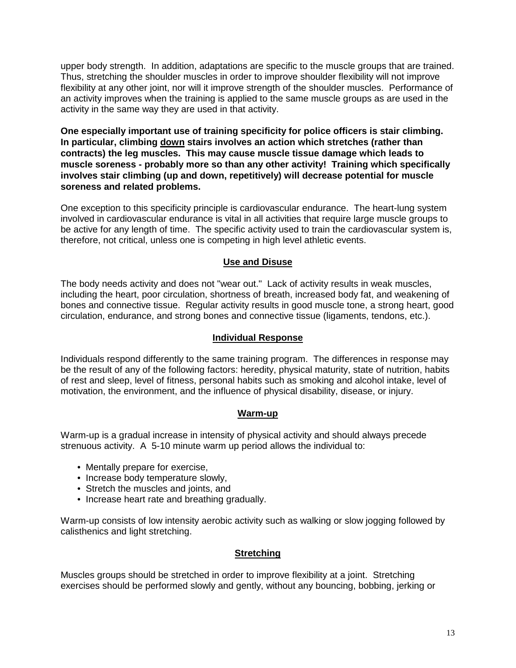upper body strength. In addition, adaptations are specific to the muscle groups that are trained. Thus, stretching the shoulder muscles in order to improve shoulder flexibility will not improve flexibility at any other joint, nor will it improve strength of the shoulder muscles. Performance of an activity improves when the training is applied to the same muscle groups as are used in the activity in the same way they are used in that activity.

**One especially important use of training specificity for police officers is stair climbing. In particular, climbing down stairs involves an action which stretches (rather than contracts) the leg muscles. This may cause muscle tissue damage which leads to muscle soreness - probably more so than any other activity! Training which specifically involves stair climbing (up and down, repetitively) will decrease potential for muscle soreness and related problems.**

One exception to this specificity principle is cardiovascular endurance. The heart-lung system involved in cardiovascular endurance is vital in all activities that require large muscle groups to be active for any length of time. The specific activity used to train the cardiovascular system is, therefore, not critical, unless one is competing in high level athletic events.

# **Use and Disuse**

The body needs activity and does not "wear out." Lack of activity results in weak muscles, including the heart, poor circulation, shortness of breath, increased body fat, and weakening of bones and connective tissue. Regular activity results in good muscle tone, a strong heart, good circulation, endurance, and strong bones and connective tissue (ligaments, tendons, etc.).

# **Individual Response**

Individuals respond differently to the same training program. The differences in response may be the result of any of the following factors: heredity, physical maturity, state of nutrition, habits of rest and sleep, level of fitness, personal habits such as smoking and alcohol intake, level of motivation, the environment, and the influence of physical disability, disease, or injury.

# **Warm-up**

Warm-up is a gradual increase in intensity of physical activity and should always precede strenuous activity. A 5-10 minute warm up period allows the individual to:

- Mentally prepare for exercise,
- Increase body temperature slowly,
- Stretch the muscles and joints, and
- Increase heart rate and breathing gradually.

Warm-up consists of low intensity aerobic activity such as walking or slow jogging followed by calisthenics and light stretching.

#### **Stretching**

Muscles groups should be stretched in order to improve flexibility at a joint. Stretching exercises should be performed slowly and gently, without any bouncing, bobbing, jerking or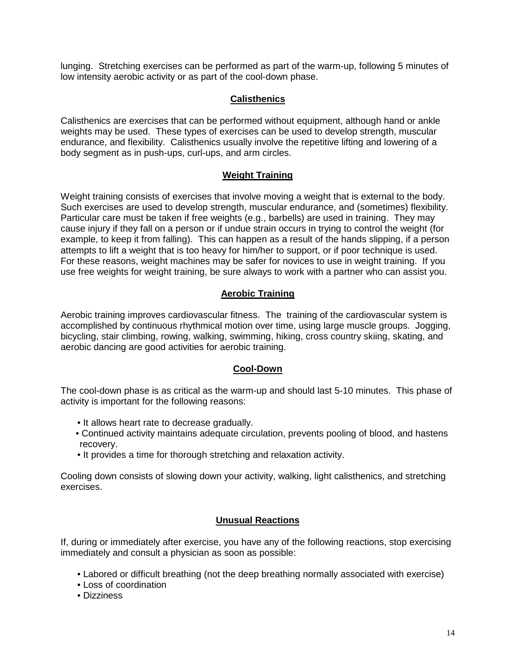lunging. Stretching exercises can be performed as part of the warm-up, following 5 minutes of low intensity aerobic activity or as part of the cool-down phase.

# **Calisthenics**

Calisthenics are exercises that can be performed without equipment, although hand or ankle weights may be used. These types of exercises can be used to develop strength, muscular endurance, and flexibility. Calisthenics usually involve the repetitive lifting and lowering of a body segment as in push-ups, curl-ups, and arm circles.

# **Weight Training**

Weight training consists of exercises that involve moving a weight that is external to the body. Such exercises are used to develop strength, muscular endurance, and (sometimes) flexibility. Particular care must be taken if free weights (e.g., barbells) are used in training. They may cause injury if they fall on a person or if undue strain occurs in trying to control the weight (for example, to keep it from falling). This can happen as a result of the hands slipping, if a person attempts to lift a weight that is too heavy for him/her to support, or if poor technique is used. For these reasons, weight machines may be safer for novices to use in weight training. If you use free weights for weight training, be sure always to work with a partner who can assist you.

# **Aerobic Training**

Aerobic training improves cardiovascular fitness. The training of the cardiovascular system is accomplished by continuous rhythmical motion over time, using large muscle groups. Jogging, bicycling, stair climbing, rowing, walking, swimming, hiking, cross country skiing, skating, and aerobic dancing are good activities for aerobic training.

# **Cool-Down**

The cool-down phase is as critical as the warm-up and should last 5-10 minutes. This phase of activity is important for the following reasons:

- It allows heart rate to decrease gradually.
- Continued activity maintains adequate circulation, prevents pooling of blood, and hastens recovery.
- It provides a time for thorough stretching and relaxation activity.

Cooling down consists of slowing down your activity, walking, light calisthenics, and stretching exercises.

# **Unusual Reactions**

If, during or immediately after exercise, you have any of the following reactions, stop exercising immediately and consult a physician as soon as possible:

- Labored or difficult breathing (not the deep breathing normally associated with exercise)
- Loss of coordination
- Dizziness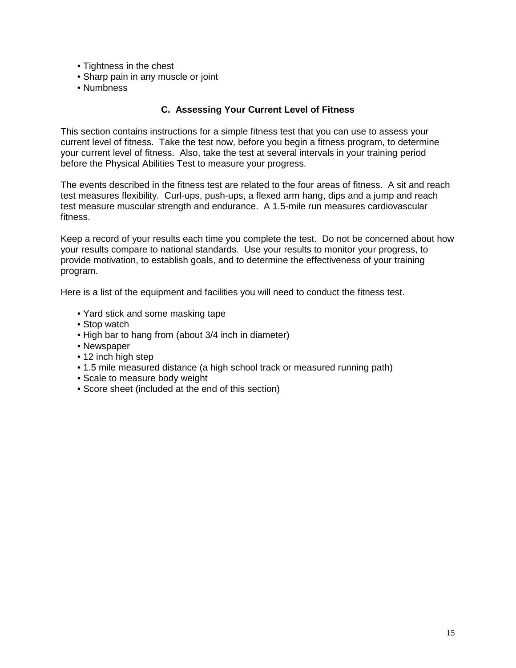- Tightness in the chest
- Sharp pain in any muscle or joint
- Numbness

# **C. Assessing Your Current Level of Fitness**

This section contains instructions for a simple fitness test that you can use to assess your current level of fitness. Take the test now, before you begin a fitness program, to determine your current level of fitness. Also, take the test at several intervals in your training period before the Physical Abilities Test to measure your progress.

The events described in the fitness test are related to the four areas of fitness. A sit and reach test measures flexibility. Curl-ups, push-ups, a flexed arm hang, dips and a jump and reach test measure muscular strength and endurance. A 1.5-mile run measures cardiovascular fitness.

Keep a record of your results each time you complete the test. Do not be concerned about how your results compare to national standards. Use your results to monitor your progress, to provide motivation, to establish goals, and to determine the effectiveness of your training program.

Here is a list of the equipment and facilities you will need to conduct the fitness test.

- Yard stick and some masking tape
- Stop watch
- High bar to hang from (about 3/4 inch in diameter)
- Newspaper
- 12 inch high step
- 1.5 mile measured distance (a high school track or measured running path)
- Scale to measure body weight
- Score sheet (included at the end of this section)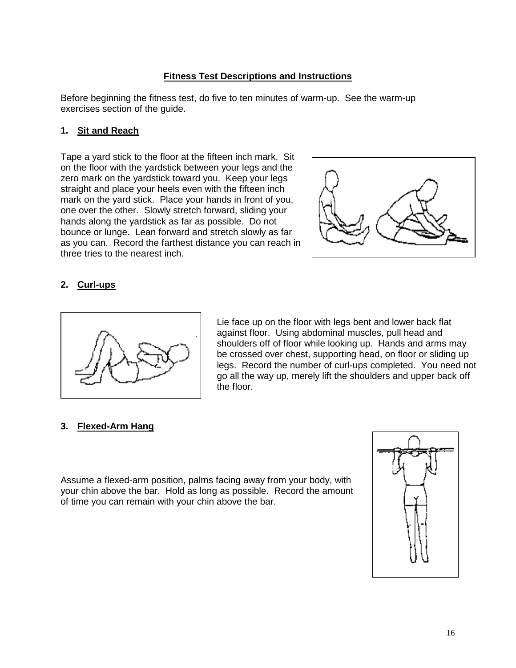# **Fitness Test Descriptions and Instructions**

Before beginning the fitness test, do five to ten minutes of warm-up. See the warm-up exercises section of the guide.

# **1. Sit and Reach**

Tape a yard stick to the floor at the fifteen inch mark. Sit on the floor with the yardstick between your legs and the zero mark on the yardstick toward you. Keep your legs straight and place your heels even with the fifteen inch mark on the yard stick. Place your hands in front of you, one over the other. Slowly stretch forward, sliding your hands along the yardstick as far as possible. Do not bounce or lunge. Lean forward and stretch slowly as far as you can. Record the farthest distance you can reach in three tries to the nearest inch.



# **2. Curl-ups**



Lie face up on the floor with legs bent and lower back flat against floor. Using abdominal muscles, pull head and shoulders off of floor while looking up. Hands and arms may be crossed over chest, supporting head, on floor or sliding up legs. Record the number of curl-ups completed. You need not go all the way up, merely lift the shoulders and upper back off the floor.

#### **3. Flexed-Arm Hang**

Assume a flexed-arm position, palms facing away from your body, with your chin above the bar. Hold as long as possible. Record the amount of time you can remain with your chin above the bar.

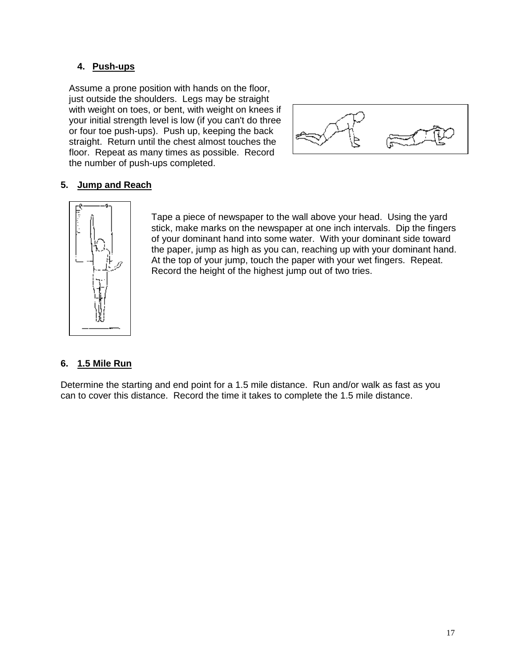# **4. Push-ups**

Assume a prone position with hands on the floor, just outside the shoulders. Legs may be straight with weight on toes, or bent, with weight on knees if your initial strength level is low (if you can't do three or four toe push-ups). Push up, keeping the back straight. Return until the chest almost touches the floor. Repeat as many times as possible. Record the number of push-ups completed.



# **5. Jump and Reach**



Tape a piece of newspaper to the wall above your head. Using the yard stick, make marks on the newspaper at one inch intervals. Dip the fingers of your dominant hand into some water. With your dominant side toward the paper, jump as high as you can, reaching up with your dominant hand. At the top of your jump, touch the paper with your wet fingers. Repeat. Record the height of the highest jump out of two tries.

# **6. 1.5 Mile Run**

Determine the starting and end point for a 1.5 mile distance. Run and/or walk as fast as you can to cover this distance. Record the time it takes to complete the 1.5 mile distance.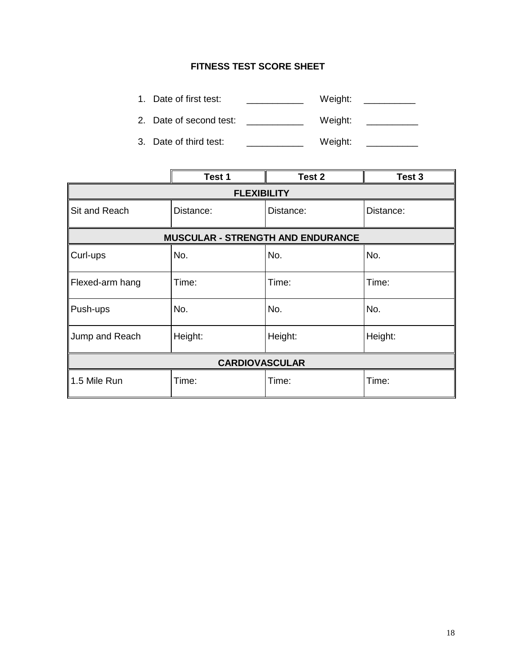# **FITNESS TEST SCORE SHEET**

- 1. Date of first test: \_\_\_\_\_\_\_\_\_\_\_\_\_\_ Weight: \_\_\_\_\_\_\_\_\_\_
- 2. Date of second test: \_\_\_\_\_\_\_\_\_\_\_\_ Weight: \_\_\_\_\_\_\_\_\_
- 3. Date of third test: \_\_\_\_\_\_\_\_\_\_\_\_\_\_ Weight: \_\_\_\_\_\_\_\_\_

|                       | Test 1             | Test 2                                   | Test 3    |  |  |  |
|-----------------------|--------------------|------------------------------------------|-----------|--|--|--|
|                       | <b>FLEXIBILITY</b> |                                          |           |  |  |  |
| Sit and Reach         | Distance:          | Distance:                                | Distance: |  |  |  |
|                       |                    | <b>MUSCULAR - STRENGTH AND ENDURANCE</b> |           |  |  |  |
| Curl-ups              | No.                | No.                                      | No.       |  |  |  |
| Flexed-arm hang       | Time:              | Time:                                    | Time:     |  |  |  |
| Push-ups              | No.                | No.                                      | No.       |  |  |  |
| Jump and Reach        | Height:            | Height:                                  | Height:   |  |  |  |
| <b>CARDIOVASCULAR</b> |                    |                                          |           |  |  |  |
| 1.5 Mile Run          | Time:              | Time:                                    | Time:     |  |  |  |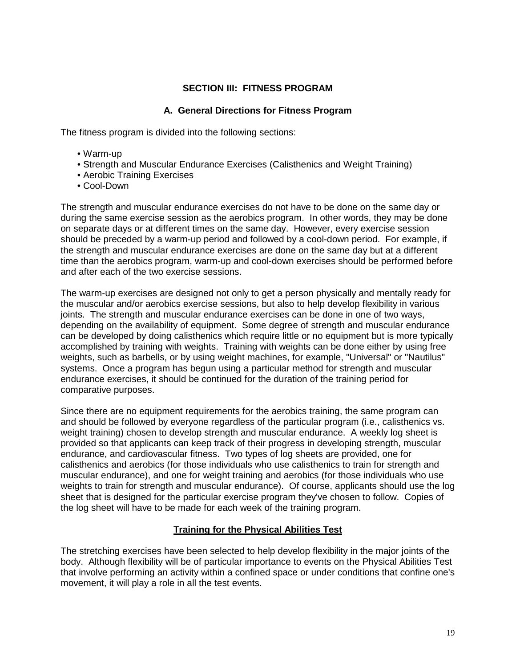# **SECTION III: FITNESS PROGRAM**

# **A. General Directions for Fitness Program**

The fitness program is divided into the following sections:

- Warm-up
- Strength and Muscular Endurance Exercises (Calisthenics and Weight Training)
- Aerobic Training Exercises
- Cool-Down

The strength and muscular endurance exercises do not have to be done on the same day or during the same exercise session as the aerobics program. In other words, they may be done on separate days or at different times on the same day. However, every exercise session should be preceded by a warm-up period and followed by a cool-down period. For example, if the strength and muscular endurance exercises are done on the same day but at a different time than the aerobics program, warm-up and cool-down exercises should be performed before and after each of the two exercise sessions.

The warm-up exercises are designed not only to get a person physically and mentally ready for the muscular and/or aerobics exercise sessions, but also to help develop flexibility in various joints. The strength and muscular endurance exercises can be done in one of two ways, depending on the availability of equipment. Some degree of strength and muscular endurance can be developed by doing calisthenics which require little or no equipment but is more typically accomplished by training with weights. Training with weights can be done either by using free weights, such as barbells, or by using weight machines, for example, "Universal" or "Nautilus" systems. Once a program has begun using a particular method for strength and muscular endurance exercises, it should be continued for the duration of the training period for comparative purposes.

Since there are no equipment requirements for the aerobics training, the same program can and should be followed by everyone regardless of the particular program (i.e., calisthenics vs. weight training) chosen to develop strength and muscular endurance. A weekly log sheet is provided so that applicants can keep track of their progress in developing strength, muscular endurance, and cardiovascular fitness. Two types of log sheets are provided, one for calisthenics and aerobics (for those individuals who use calisthenics to train for strength and muscular endurance), and one for weight training and aerobics (for those individuals who use weights to train for strength and muscular endurance). Of course, applicants should use the log sheet that is designed for the particular exercise program they've chosen to follow. Copies of the log sheet will have to be made for each week of the training program.

# **Training for the Physical Abilities Test**

The stretching exercises have been selected to help develop flexibility in the major joints of the body. Although flexibility will be of particular importance to events on the Physical Abilities Test that involve performing an activity within a confined space or under conditions that confine one's movement, it will play a role in all the test events.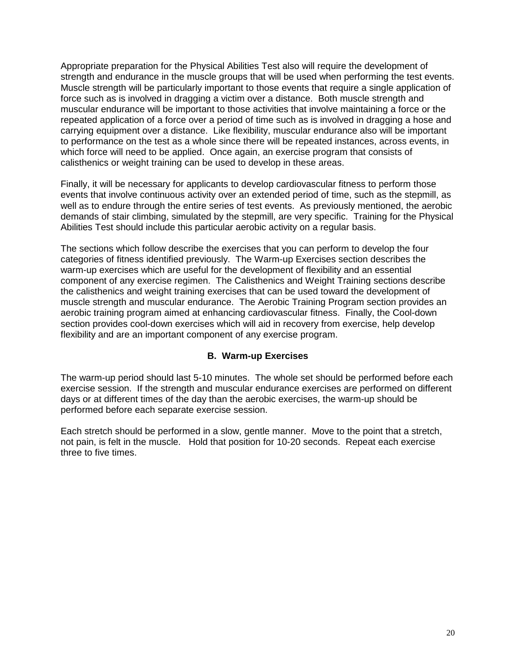Appropriate preparation for the Physical Abilities Test also will require the development of strength and endurance in the muscle groups that will be used when performing the test events. Muscle strength will be particularly important to those events that require a single application of force such as is involved in dragging a victim over a distance. Both muscle strength and muscular endurance will be important to those activities that involve maintaining a force or the repeated application of a force over a period of time such as is involved in dragging a hose and carrying equipment over a distance. Like flexibility, muscular endurance also will be important to performance on the test as a whole since there will be repeated instances, across events, in which force will need to be applied. Once again, an exercise program that consists of calisthenics or weight training can be used to develop in these areas.

Finally, it will be necessary for applicants to develop cardiovascular fitness to perform those events that involve continuous activity over an extended period of time, such as the stepmill, as well as to endure through the entire series of test events. As previously mentioned, the aerobic demands of stair climbing, simulated by the stepmill, are very specific. Training for the Physical Abilities Test should include this particular aerobic activity on a regular basis.

The sections which follow describe the exercises that you can perform to develop the four categories of fitness identified previously. The Warm-up Exercises section describes the warm-up exercises which are useful for the development of flexibility and an essential component of any exercise regimen. The Calisthenics and Weight Training sections describe the calisthenics and weight training exercises that can be used toward the development of muscle strength and muscular endurance. The Aerobic Training Program section provides an aerobic training program aimed at enhancing cardiovascular fitness. Finally, the Cool-down section provides cool-down exercises which will aid in recovery from exercise, help develop flexibility and are an important component of any exercise program.

# **B. Warm-up Exercises**

The warm-up period should last 5-10 minutes. The whole set should be performed before each exercise session. If the strength and muscular endurance exercises are performed on different days or at different times of the day than the aerobic exercises, the warm-up should be performed before each separate exercise session.

Each stretch should be performed in a slow, gentle manner. Move to the point that a stretch, not pain, is felt in the muscle. Hold that position for 10-20 seconds. Repeat each exercise three to five times.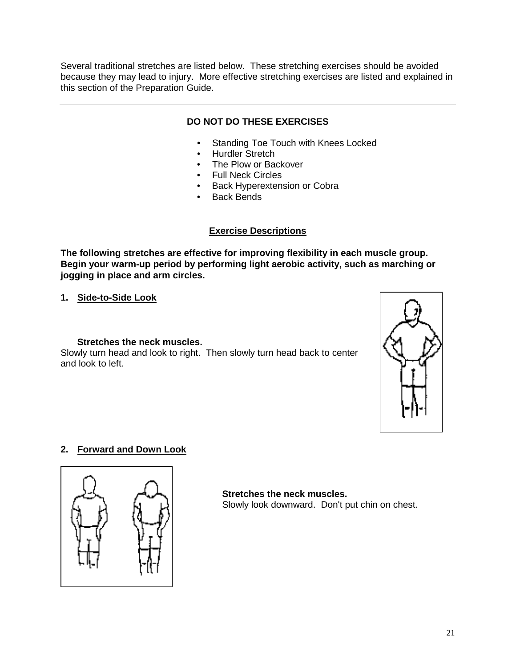Several traditional stretches are listed below. These stretching exercises should be avoided because they may lead to injury. More effective stretching exercises are listed and explained in this section of the Preparation Guide.

# **DO NOT DO THESE EXERCISES**

- Standing Toe Touch with Knees Locked
- Hurdler Stretch
- The Plow or Backover
- **Full Neck Circles**
- Back Hyperextension or Cobra
- Back Bends

# **Exercise Descriptions**

**The following stretches are effective for improving flexibility in each muscle group. Begin your warm-up period by performing light aerobic activity, such as marching or jogging in place and arm circles.**

**1. Side-to-Side Look**

# **Stretches the neck muscles.**

Slowly turn head and look to right. Then slowly turn head back to center and look to left.



# **2. Forward and Down Look**



# **Stretches the neck muscles.**

Slowly look downward. Don't put chin on chest.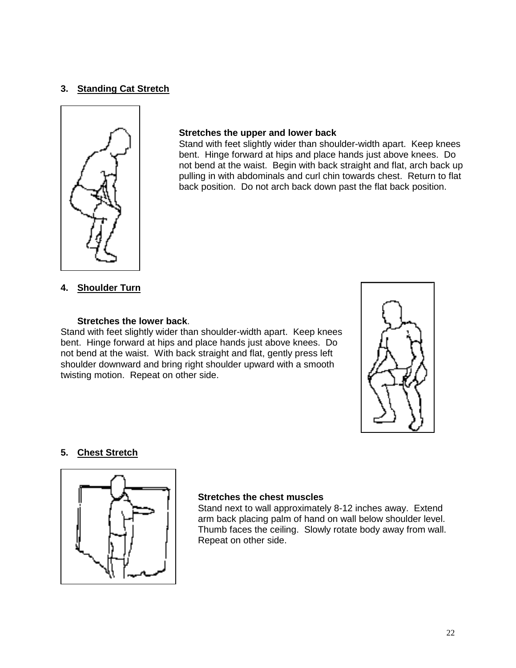# **3. Standing Cat Stretch**



#### **Stretches the upper and lower back**

Stand with feet slightly wider than shoulder-width apart. Keep knees bent. Hinge forward at hips and place hands just above knees. Do not bend at the waist. Begin with back straight and flat, arch back up pulling in with abdominals and curl chin towards chest. Return to flat back position. Do not arch back down past the flat back position.

#### **4. Shoulder Turn**

#### **Stretches the lower back**.

Stand with feet slightly wider than shoulder-width apart. Keep knees bent. Hinge forward at hips and place hands just above knees. Do not bend at the waist. With back straight and flat, gently press left shoulder downward and bring right shoulder upward with a smooth twisting motion. Repeat on other side.



#### **5. Chest Stretch**



#### **Stretches the chest muscles**

Stand next to wall approximately 8-12 inches away. Extend arm back placing palm of hand on wall below shoulder level. Thumb faces the ceiling. Slowly rotate body away from wall. Repeat on other side.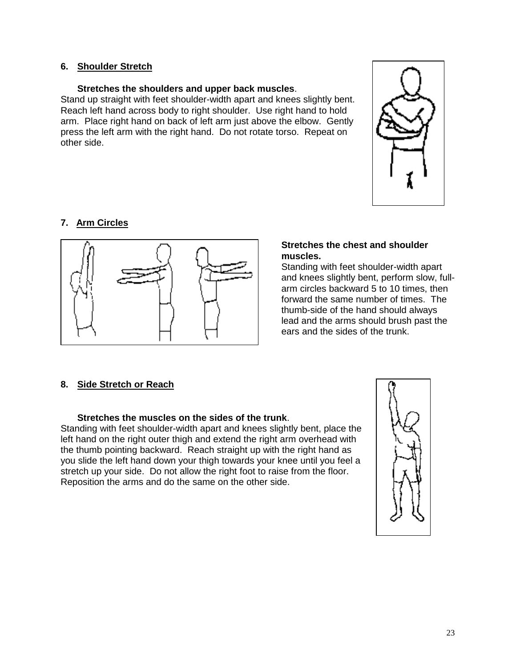#### **6. Shoulder Stretch**

#### **Stretches the shoulders and upper back muscles**.

Stand up straight with feet shoulder-width apart and knees slightly bent. Reach left hand across body to right shoulder. Use right hand to hold arm. Place right hand on back of left arm just above the elbow. Gently press the left arm with the right hand. Do not rotate torso. Repeat on other side.



# **7. Arm Circles**



#### **Stretches the chest and shoulder muscles.**

Standing with feet shoulder-width apart and knees slightly bent, perform slow, fullarm circles backward 5 to 10 times, then forward the same number of times. The thumb-side of the hand should always lead and the arms should brush past the ears and the sides of the trunk.

# **8. Side Stretch or Reach**

# **Stretches the muscles on the sides of the trunk**.

Standing with feet shoulder-width apart and knees slightly bent, place the left hand on the right outer thigh and extend the right arm overhead with the thumb pointing backward. Reach straight up with the right hand as you slide the left hand down your thigh towards your knee until you feel a stretch up your side. Do not allow the right foot to raise from the floor. Reposition the arms and do the same on the other side.

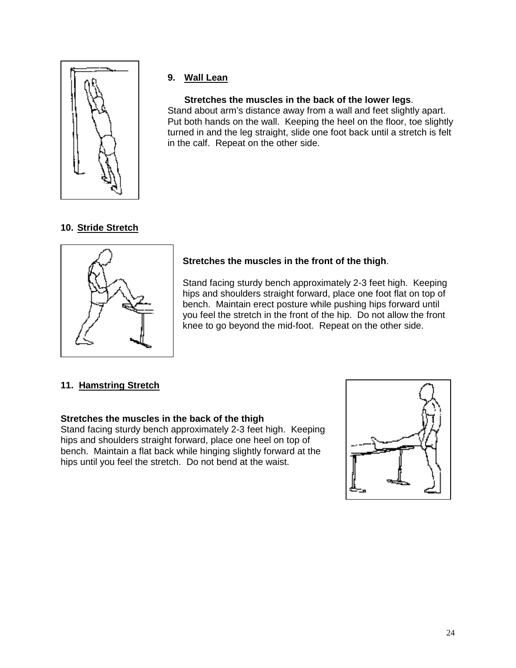

# **9. Wall Lean**

**Stretches the muscles in the back of the lower legs**. Stand about arm's distance away from a wall and feet slightly apart. Put both hands on the wall. Keeping the heel on the floor, toe slightly turned in and the leg straight, slide one foot back until a stretch is felt in the calf. Repeat on the other side.

# **10. Stride Stretch**



# **Stretches the muscles in the front of the thigh**.

Stand facing sturdy bench approximately 2-3 feet high. Keeping hips and shoulders straight forward, place one foot flat on top of bench. Maintain erect posture while pushing hips forward until you feel the stretch in the front of the hip. Do not allow the front knee to go beyond the mid-foot. Repeat on the other side.

# **11. Hamstring Stretch**

# **Stretches the muscles in the back of the thigh**

Stand facing sturdy bench approximately 2-3 feet high. Keeping hips and shoulders straight forward, place one heel on top of bench. Maintain a flat back while hinging slightly forward at the hips until you feel the stretch. Do not bend at the waist.

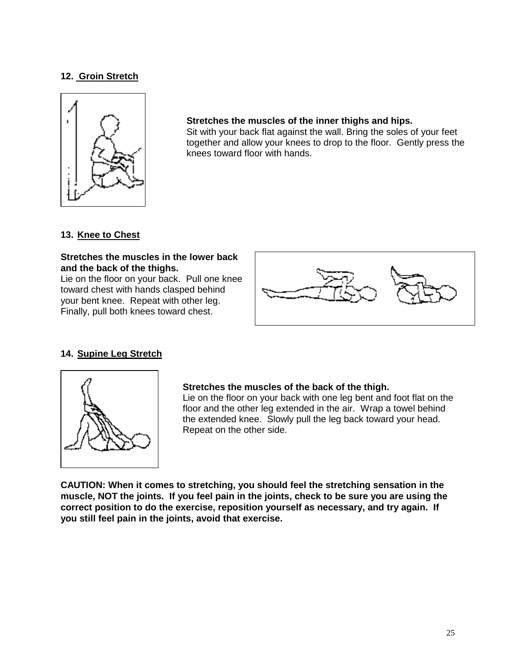# **12. Groin Stretch**



#### **Stretches the muscles of the inner thighs and hips.**

Sit with your back flat against the wall. Bring the soles of your feet together and allow your knees to drop to the floor. Gently press the knees toward floor with hands.

# **13. Knee to Chest**

#### **Stretches the muscles in the lower back and the back of the thighs.**

Lie on the floor on your back. Pull one knee toward chest with hands clasped behind your bent knee. Repeat with other leg. Finally, pull both knees toward chest.



# **14. Supine Leg Stretch**



#### **Stretches the muscles of the back of the thigh.**

Lie on the floor on your back with one leg bent and foot flat on the floor and the other leg extended in the air. Wrap a towel behind the extended knee. Slowly pull the leg back toward your head. Repeat on the other side.

**CAUTION: When it comes to stretching, you should feel the stretching sensation in the muscle, NOT the joints. If you feel pain in the joints, check to be sure you are using the correct position to do the exercise, reposition yourself as necessary, and try again. If you still feel pain in the joints, avoid that exercise.**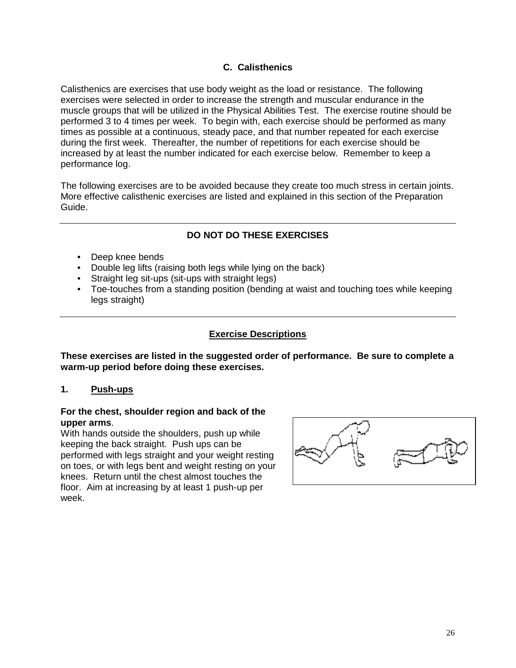# **C. Calisthenics**

Calisthenics are exercises that use body weight as the load or resistance. The following exercises were selected in order to increase the strength and muscular endurance in the muscle groups that will be utilized in the Physical Abilities Test. The exercise routine should be performed 3 to 4 times per week. To begin with, each exercise should be performed as many times as possible at a continuous, steady pace, and that number repeated for each exercise during the first week. Thereafter, the number of repetitions for each exercise should be increased by at least the number indicated for each exercise below. Remember to keep a performance log.

The following exercises are to be avoided because they create too much stress in certain joints. More effective calisthenic exercises are listed and explained in this section of the Preparation Guide.

# **DO NOT DO THESE EXERCISES**

- Deep knee bends
- Double leg lifts (raising both legs while lying on the back)
- Straight leg sit-ups (sit-ups with straight legs)
- Toe-touches from a standing position (bending at waist and touching toes while keeping legs straight)

# **Exercise Descriptions**

**These exercises are listed in the suggested order of performance. Be sure to complete a warm-up period before doing these exercises.**

# **1. Push-ups**

#### **For the chest, shoulder region and back of the upper arms**.

With hands outside the shoulders, push up while keeping the back straight. Push ups can be performed with legs straight and your weight resting on toes, or with legs bent and weight resting on your knees. Return until the chest almost touches the floor. Aim at increasing by at least 1 push-up per week.

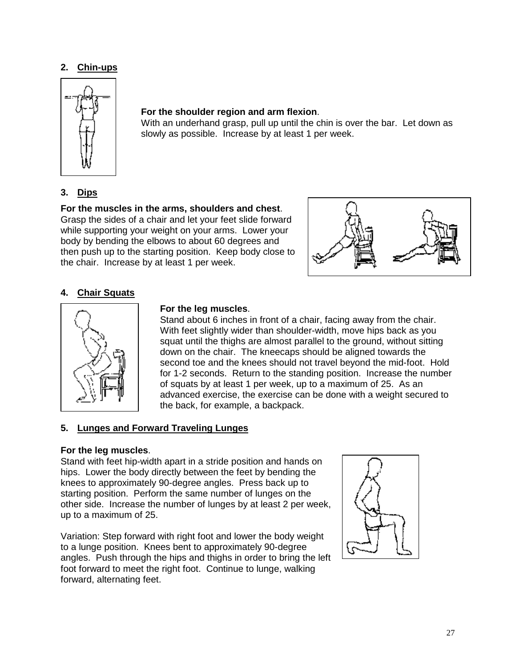# **2. Chin-ups**



# **For the shoulder region and arm flexion**.

With an underhand grasp, pull up until the chin is over the bar. Let down as slowly as possible. Increase by at least 1 per week.

# **3. Dips**

# **For the muscles in the arms, shoulders and chest**.

Grasp the sides of a chair and let your feet slide forward while supporting your weight on your arms. Lower your body by bending the elbows to about 60 degrees and then push up to the starting position. Keep body close to the chair. Increase by at least 1 per week.



# **4. Chair Squats**



# **For the leg muscles**.

Stand about 6 inches in front of a chair, facing away from the chair. With feet slightly wider than shoulder-width, move hips back as you squat until the thighs are almost parallel to the ground, without sitting down on the chair. The kneecaps should be aligned towards the second toe and the knees should not travel beyond the mid-foot. Hold for 1-2 seconds. Return to the standing position. Increase the number of squats by at least 1 per week, up to a maximum of 25. As an advanced exercise, the exercise can be done with a weight secured to the back, for example, a backpack.

# **5. Lunges and Forward Traveling Lunges**

# **For the leg muscles**.

Stand with feet hip-width apart in a stride position and hands on hips. Lower the body directly between the feet by bending the knees to approximately 90-degree angles. Press back up to starting position. Perform the same number of lunges on the other side. Increase the number of lunges by at least 2 per week, up to a maximum of 25.

Variation: Step forward with right foot and lower the body weight to a lunge position. Knees bent to approximately 90-degree angles. Push through the hips and thighs in order to bring the left foot forward to meet the right foot. Continue to lunge, walking forward, alternating feet.

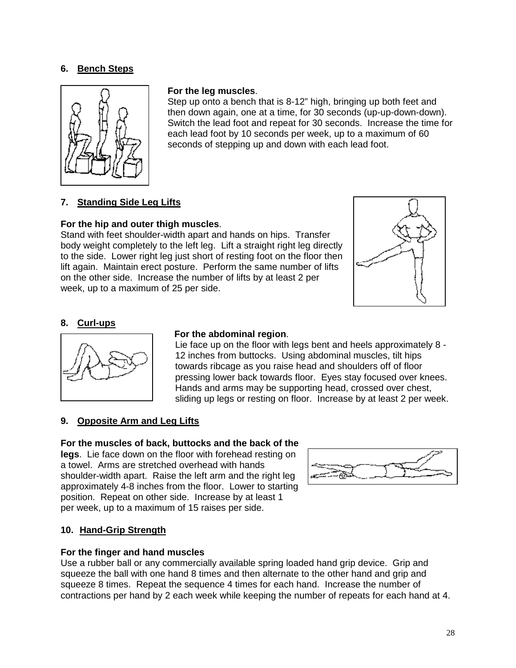# **6. Bench Steps**



#### **For the leg muscles**.

Step up onto a bench that is 8-12" high, bringing up both feet and then down again, one at a time, for 30 seconds (up-up-down-down). Switch the lead foot and repeat for 30 seconds. Increase the time for each lead foot by 10 seconds per week, up to a maximum of 60 seconds of stepping up and down with each lead foot.

# **7. Standing Side Leg Lifts**

#### **For the hip and outer thigh muscles**.

Stand with feet shoulder-width apart and hands on hips. Transfer body weight completely to the left leg. Lift a straight right leg directly to the side. Lower right leg just short of resting foot on the floor then lift again. Maintain erect posture. Perform the same number of lifts on the other side. Increase the number of lifts by at least 2 per week, up to a maximum of 25 per side.



#### **8. Curl-ups**



#### **For the abdominal region**.

Lie face up on the floor with legs bent and heels approximately 8 - 12 inches from buttocks. Using abdominal muscles, tilt hips towards ribcage as you raise head and shoulders off of floor pressing lower back towards floor. Eyes stay focused over knees. Hands and arms may be supporting head, crossed over chest, sliding up legs or resting on floor. Increase by at least 2 per week.

#### **9. Opposite Arm and Leg Lifts**

#### **For the muscles of back, buttocks and the back of the**

**legs**. Lie face down on the floor with forehead resting on a towel. Arms are stretched overhead with hands shoulder-width apart. Raise the left arm and the right leg approximately 4-8 inches from the floor. Lower to starting position. Repeat on other side. Increase by at least 1 per week, up to a maximum of 15 raises per side.



#### **10. Hand-Grip Strength**

#### **For the finger and hand muscles**

Use a rubber ball or any commercially available spring loaded hand grip device. Grip and squeeze the ball with one hand 8 times and then alternate to the other hand and grip and squeeze 8 times. Repeat the sequence 4 times for each hand. Increase the number of contractions per hand by 2 each week while keeping the number of repeats for each hand at 4.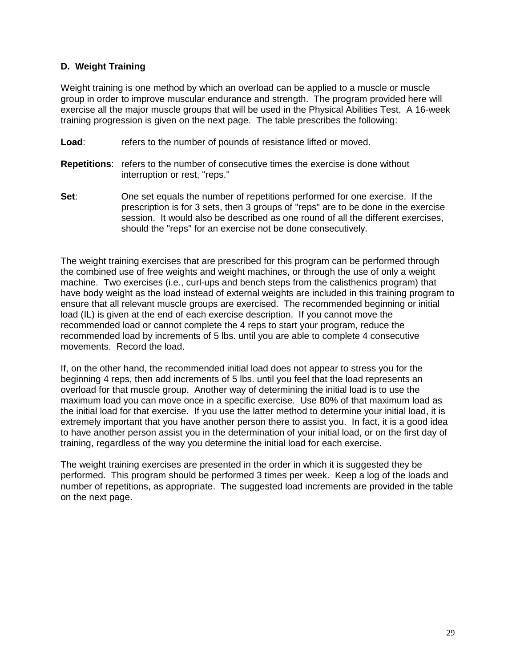# **D. Weight Training**

Weight training is one method by which an overload can be applied to a muscle or muscle group in order to improve muscular endurance and strength. The program provided here will exercise all the major muscle groups that will be used in the Physical Abilities Test. A 16-week training progression is given on the next page. The table prescribes the following:

- **Load:** refers to the number of pounds of resistance lifted or moved.
- **Repetitions**: refers to the number of consecutive times the exercise is done without interruption or rest, "reps."
- **Set**: One set equals the number of repetitions performed for one exercise. If the prescription is for 3 sets, then 3 groups of "reps" are to be done in the exercise session. It would also be described as one round of all the different exercises, should the "reps" for an exercise not be done consecutively.

The weight training exercises that are prescribed for this program can be performed through the combined use of free weights and weight machines, or through the use of only a weight machine. Two exercises (i.e., curl-ups and bench steps from the calisthenics program) that have body weight as the load instead of external weights are included in this training program to ensure that all relevant muscle groups are exercised. The recommended beginning or initial load (IL) is given at the end of each exercise description. If you cannot move the recommended load or cannot complete the 4 reps to start your program, reduce the recommended load by increments of 5 lbs. until you are able to complete 4 consecutive movements. Record the load.

If, on the other hand, the recommended initial load does not appear to stress you for the beginning 4 reps, then add increments of 5 lbs. until you feel that the load represents an overload for that muscle group. Another way of determining the initial load is to use the maximum load you can move once in a specific exercise. Use 80% of that maximum load as the initial load for that exercise. If you use the latter method to determine your initial load, it is extremely important that you have another person there to assist you. In fact, it is a good idea to have another person assist you in the determination of your initial load, or on the first day of training, regardless of the way you determine the initial load for each exercise.

The weight training exercises are presented in the order in which it is suggested they be performed. This program should be performed 3 times per week. Keep a log of the loads and number of repetitions, as appropriate. The suggested load increments are provided in the table on the next page.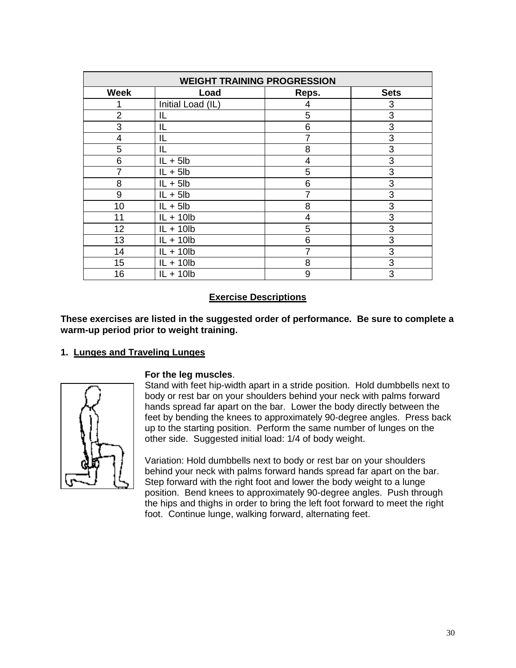| <b>WEIGHT TRAINING PROGRESSION</b> |                   |       |             |  |
|------------------------------------|-------------------|-------|-------------|--|
| <b>Week</b>                        | Load              | Reps. | <b>Sets</b> |  |
|                                    | Initial Load (IL) | 4     | 3           |  |
| $\overline{2}$                     | IL                | 5     | 3           |  |
| 3                                  | IL                | 6     | 3           |  |
| 4                                  | IL                | 7     | 3           |  |
| 5                                  | IL                | 8     | 3           |  |
| 6                                  | $IL + 5lb$        | 4     | 3           |  |
|                                    | $IL + 5lb$        | 5     | 3           |  |
| 8                                  | $IL + 5lb$        | 6     | 3           |  |
| 9                                  | $IL + 5lb$        | 7     | 3           |  |
| 10                                 | $IL + 5lb$        | 8     | 3           |  |
| 11                                 | $IL + 10lb$       | 4     | 3           |  |
| 12                                 | $IL + 10lb$       | 5     | 3           |  |
| 13                                 | $IL + 10lb$       | 6     | 3           |  |
| 14                                 | $IL + 10lb$       | 7     | 3           |  |
| 15                                 | $IL + 10lb$       | 8     | 3           |  |
| 16                                 | $IL + 10lb$       | 9     | 3           |  |

# **Exercise Descriptions**

**These exercises are listed in the suggested order of performance. Be sure to complete a warm-up period prior to weight training.**

# **1. Lunges and Traveling Lunges**



#### **For the leg muscles**.

Stand with feet hip-width apart in a stride position. Hold dumbbells next to body or rest bar on your shoulders behind your neck with palms forward hands spread far apart on the bar. Lower the body directly between the feet by bending the knees to approximately 90-degree angles. Press back up to the starting position. Perform the same number of lunges on the other side. Suggested initial load: 1/4 of body weight.

Variation: Hold dumbbells next to body or rest bar on your shoulders behind your neck with palms forward hands spread far apart on the bar. Step forward with the right foot and lower the body weight to a lunge position. Bend knees to approximately 90-degree angles. Push through the hips and thighs in order to bring the left foot forward to meet the right foot. Continue lunge, walking forward, alternating feet.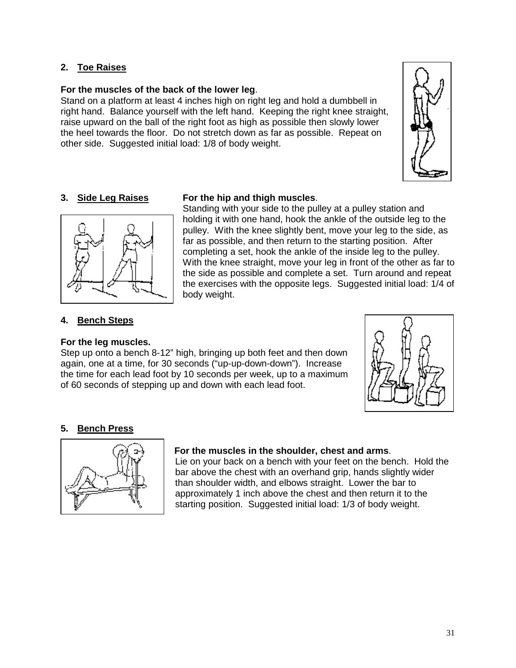# **2. Toe Raises**

#### **For the muscles of the back of the lower leg**.

Stand on a platform at least 4 inches high on right leg and hold a dumbbell in right hand. Balance yourself with the left hand. Keeping the right knee straight, raise upward on the ball of the right foot as high as possible then slowly lower the heel towards the floor. Do not stretch down as far as possible. Repeat on other side. Suggested initial load: 1/8 of body weight.





# **3. Side Leg Raises For the hip and thigh muscles**.

Standing with your side to the pulley at a pulley station and holding it with one hand, hook the ankle of the outside leg to the pulley. With the knee slightly bent, move your leg to the side, as far as possible, and then return to the starting position. After completing a set, hook the ankle of the inside leg to the pulley. With the knee straight, move your leg in front of the other as far to the side as possible and complete a set. Turn around and repeat the exercises with the opposite legs. Suggested initial load: 1/4 of body weight.

#### **4. Bench Steps**

#### **For the leg muscles.**

Step up onto a bench 8-12" high, bringing up both feet and then down again, one at a time, for 30 seconds ("up-up-down-down"). Increase the time for each lead foot by 10 seconds per week, up to a maximum of 60 seconds of stepping up and down with each lead foot.



#### **5. Bench Press**



#### **For the muscles in the shoulder, chest and arms**.

Lie on your back on a bench with your feet on the bench. Hold the bar above the chest with an overhand grip, hands slightly wider than shoulder width, and elbows straight. Lower the bar to approximately 1 inch above the chest and then return it to the starting position. Suggested initial load: 1/3 of body weight.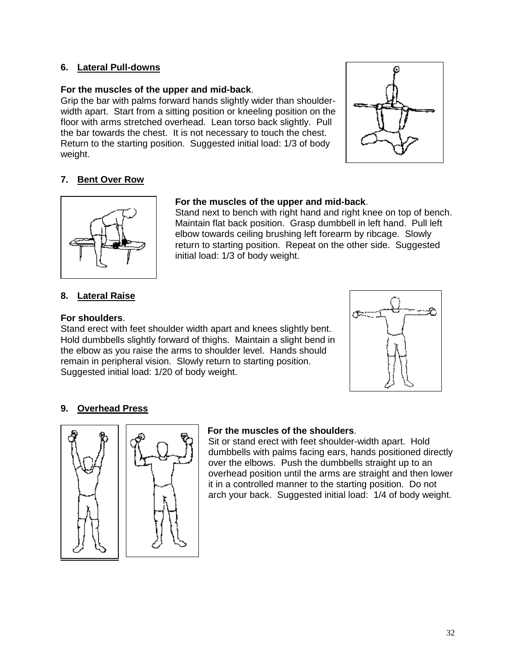# **6. Lateral Pull-downs**

#### **For the muscles of the upper and mid-back**.

Grip the bar with palms forward hands slightly wider than shoulderwidth apart. Start from a sitting position or kneeling position on the floor with arms stretched overhead. Lean torso back slightly. Pull the bar towards the chest. It is not necessary to touch the chest. Return to the starting position. Suggested initial load: 1/3 of body weight.



# **7. Bent Over Row**



# **For the muscles of the upper and mid-back**.

Stand next to bench with right hand and right knee on top of bench. Maintain flat back position. Grasp dumbbell in left hand. Pull left elbow towards ceiling brushing left forearm by ribcage. Slowly return to starting position. Repeat on the other side. Suggested initial load: 1/3 of body weight.

# **8. Lateral Raise**

#### **For shoulders**.

Stand erect with feet shoulder width apart and knees slightly bent. Hold dumbbells slightly forward of thighs. Maintain a slight bend in the elbow as you raise the arms to shoulder level. Hands should remain in peripheral vision. Slowly return to starting position. Suggested initial load: 1/20 of body weight.



# **9. Overhead Press**



#### **For the muscles of the shoulders**.

Sit or stand erect with feet shoulder-width apart. Hold dumbbells with palms facing ears, hands positioned directly over the elbows. Push the dumbbells straight up to an overhead position until the arms are straight and then lower it in a controlled manner to the starting position. Do not arch your back.Suggested initial load: 1/4 of body weight.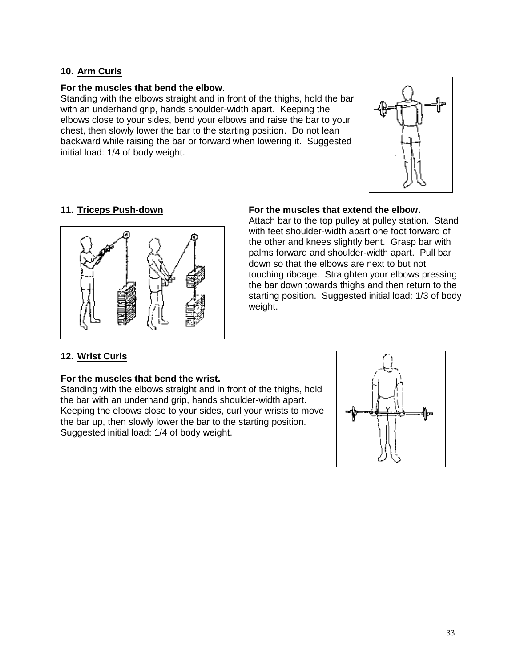# **10. Arm Curls**

#### **For the muscles that bend the elbow**.

Standing with the elbows straight and in front of the thighs, hold the bar with an underhand grip, hands shoulder-width apart. Keeping the elbows close to your sides, bend your elbows and raise the bar to your chest, then slowly lower the bar to the starting position. Do not lean backward while raising the bar or forward when lowering it. Suggested initial load: 1/4 of body weight.





#### **11. Triceps Push-down For the muscles that extend the elbow.**

Attach bar to the top pulley at pulley station. Stand with feet shoulder-width apart one foot forward of the other and knees slightly bent. Grasp bar with palms forward and shoulder-width apart. Pull bar down so that the elbows are next to but not touching ribcage. Straighten your elbows pressing the bar down towards thighs and then return to the starting position. Suggested initial load: 1/3 of body weight.

# **12. Wrist Curls**

# **For the muscles that bend the wrist.**

Standing with the elbows straight and in front of the thighs, hold the bar with an underhand grip, hands shoulder-width apart. Keeping the elbows close to your sides, curl your wrists to move the bar up, then slowly lower the bar to the starting position. Suggested initial load: 1/4 of body weight.

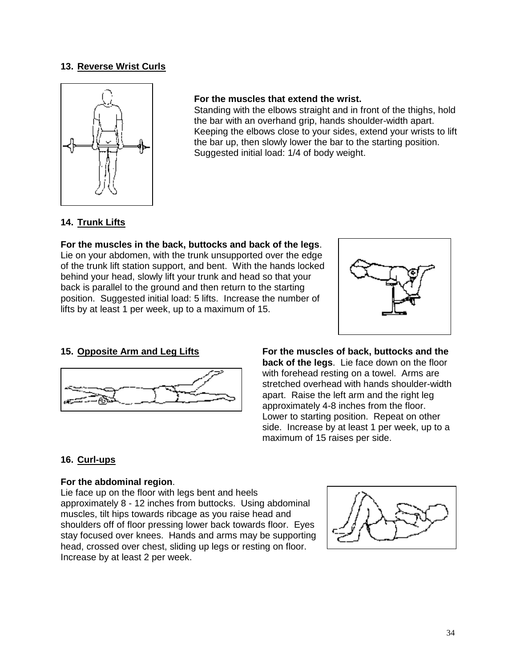# **13. Reverse Wrist Curls**



#### **For the muscles that extend the wrist.**

Standing with the elbows straight and in front of the thighs, hold the bar with an overhand grip, hands shoulder-width apart. Keeping the elbows close to your sides, extend your wrists to lift the bar up, then slowly lower the bar to the starting position. Suggested initial load: 1/4 of body weight.

# **14. Trunk Lifts**

**For the muscles in the back, buttocks and back of the legs**. Lie on your abdomen, with the trunk unsupported over the edge of the trunk lift station support, and bent. With the hands locked behind your head, slowly lift your trunk and head so that your back is parallel to the ground and then return to the starting position. Suggested initial load: 5 lifts. Increase the number of lifts by at least 1 per week, up to a maximum of 15.





**15. Opposite Arm and Leg Lifts For the muscles of back, buttocks and the back of the legs**. Lie face down on the floor with forehead resting on a towel. Arms are stretched overhead with hands shoulder-width apart. Raise the left arm and the right leg approximately 4-8 inches from the floor. Lower to starting position. Repeat on other side. Increase by at least 1 per week, up to a maximum of 15 raises per side.

# **16. Curl-ups**

#### **For the abdominal region**.

Lie face up on the floor with legs bent and heels approximately 8 - 12 inches from buttocks. Using abdominal muscles, tilt hips towards ribcage as you raise head and shoulders off of floor pressing lower back towards floor. Eyes stay focused over knees. Hands and arms may be supporting head, crossed over chest, sliding up legs or resting on floor. Increase by at least 2 per week.

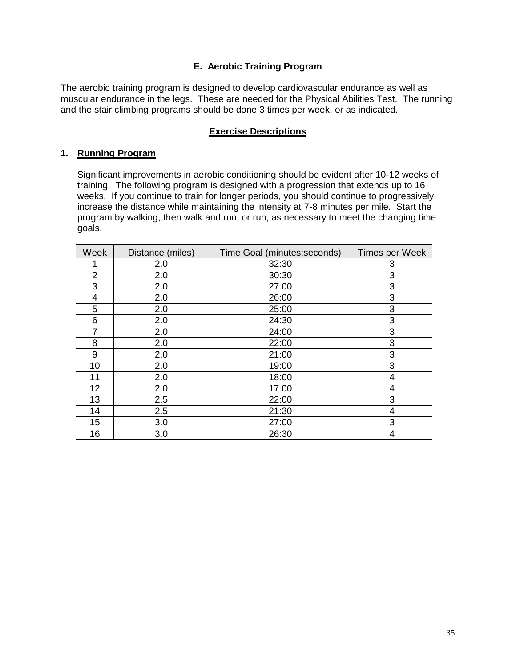# **E. Aerobic Training Program**

The aerobic training program is designed to develop cardiovascular endurance as well as muscular endurance in the legs. These are needed for the Physical Abilities Test. The running and the stair climbing programs should be done 3 times per week, or as indicated.

# **Exercise Descriptions**

# **1. Running Program**

Significant improvements in aerobic conditioning should be evident after 10-12 weeks of training. The following program is designed with a progression that extends up to 16 weeks. If you continue to train for longer periods, you should continue to progressively increase the distance while maintaining the intensity at 7-8 minutes per mile. Start the program by walking, then walk and run, or run, as necessary to meet the changing time goals.

| Week           | Distance (miles) | Time Goal (minutes: seconds) | Times per Week |
|----------------|------------------|------------------------------|----------------|
|                | 2.0              | 32:30                        | 3              |
| $\overline{2}$ | 2.0              | 30:30                        | 3              |
| 3              | 2.0              | 27:00                        | 3              |
| 4              | 2.0              | 26:00                        | 3              |
| 5              | 2.0              | 25:00                        | 3              |
| 6              | 2.0              | 24:30                        | 3              |
| 7              | 2.0              | 24:00                        | 3              |
| 8              | 2.0              | 22:00                        | 3              |
| 9              | 2.0              | 21:00                        | 3              |
| 10             | 2.0              | 19:00                        | 3              |
| 11             | 2.0              | 18:00                        | 4              |
| 12             | 2.0              | 17:00                        | 4              |
| 13             | 2.5              | 22:00                        | 3              |
| 14             | 2.5              | 21:30                        | 4              |
| 15             | 3.0              | 27:00                        | 3              |
| 16             | 3.0              | 26:30                        | 4              |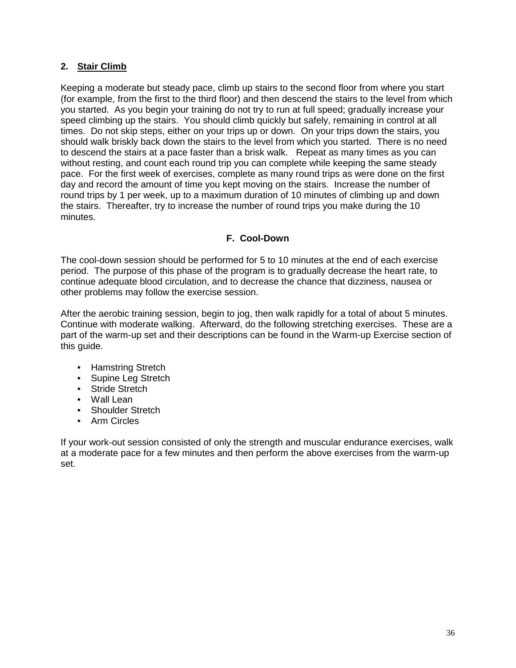# **2. Stair Climb**

Keeping a moderate but steady pace, climb up stairs to the second floor from where you start (for example, from the first to the third floor) and then descend the stairs to the level from which you started. As you begin your training do not try to run at full speed; gradually increase your speed climbing up the stairs. You should climb quickly but safely, remaining in control at all times. Do not skip steps, either on your trips up or down. On your trips down the stairs, you should walk briskly back down the stairs to the level from which you started. There is no need to descend the stairs at a pace faster than a brisk walk. Repeat as many times as you can without resting, and count each round trip you can complete while keeping the same steady pace. For the first week of exercises, complete as many round trips as were done on the first day and record the amount of time you kept moving on the stairs. Increase the number of round trips by 1 per week, up to a maximum duration of 10 minutes of climbing up and down the stairs. Thereafter, try to increase the number of round trips you make during the 10 minutes.

# **F. Cool-Down**

The cool-down session should be performed for 5 to 10 minutes at the end of each exercise period. The purpose of this phase of the program is to gradually decrease the heart rate, to continue adequate blood circulation, and to decrease the chance that dizziness, nausea or other problems may follow the exercise session.

After the aerobic training session, begin to jog, then walk rapidly for a total of about 5 minutes. Continue with moderate walking. Afterward, do the following stretching exercises. These are a part of the warm-up set and their descriptions can be found in the Warm-up Exercise section of this guide.

- Hamstring Stretch
- Supine Lea Stretch
- Stride Stretch
- Wall Lean
- Shoulder Stretch
- Arm Circles

If your work-out session consisted of only the strength and muscular endurance exercises, walk at a moderate pace for a few minutes and then perform the above exercises from the warm-up set.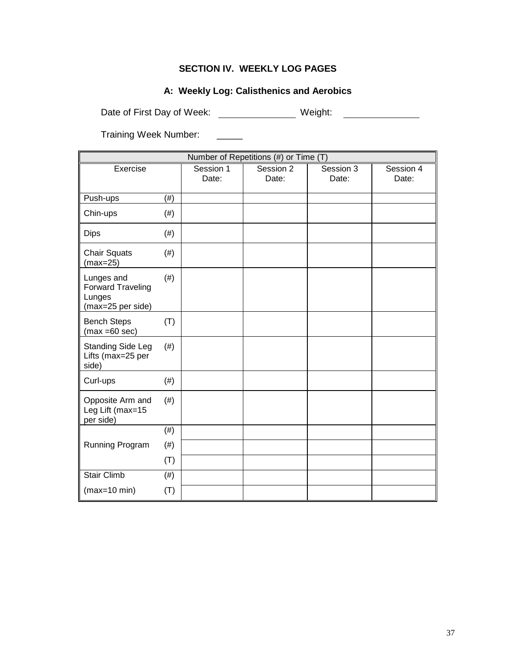# **SECTION IV. WEEKLY LOG PAGES**

# **A: Weekly Log: Calisthenics and Aerobics**

Date of First Day of Week: \_\_\_\_\_\_\_\_\_\_\_\_\_\_\_\_\_ Weight: \_\_\_\_\_\_\_\_\_\_\_\_\_\_\_\_\_\_\_\_\_\_\_\_\_\_\_

Training Week Number: \_\_\_\_\_

| Number of Repetitions (#) or Time (T)                                 |        |                    |                    |                    |                    |
|-----------------------------------------------------------------------|--------|--------------------|--------------------|--------------------|--------------------|
| Exercise                                                              |        | Session 1<br>Date: | Session 2<br>Date: | Session 3<br>Date: | Session 4<br>Date: |
| Push-ups                                                              | $(\#)$ |                    |                    |                    |                    |
| Chin-ups                                                              | (# )   |                    |                    |                    |                    |
| <b>Dips</b>                                                           | (# )   |                    |                    |                    |                    |
| <b>Chair Squats</b><br>$(max=25)$                                     | (# )   |                    |                    |                    |                    |
| Lunges and<br><b>Forward Traveling</b><br>Lunges<br>(max=25 per side) | (# )   |                    |                    |                    |                    |
| <b>Bench Steps</b><br>$(max = 60 sec)$                                | (T)    |                    |                    |                    |                    |
| <b>Standing Side Leg</b><br>Lifts (max=25 per<br>side)                | $(\#)$ |                    |                    |                    |                    |
| Curl-ups                                                              | (# )   |                    |                    |                    |                    |
| Opposite Arm and<br>Leg Lift (max=15<br>per side)                     | (# )   |                    |                    |                    |                    |
|                                                                       | (# )   |                    |                    |                    |                    |
| Running Program                                                       | (# )   |                    |                    |                    |                    |
|                                                                       | (T)    |                    |                    |                    |                    |
| <b>Stair Climb</b>                                                    | (#)    |                    |                    |                    |                    |
| $(max=10 min)$                                                        | (T)    |                    |                    |                    |                    |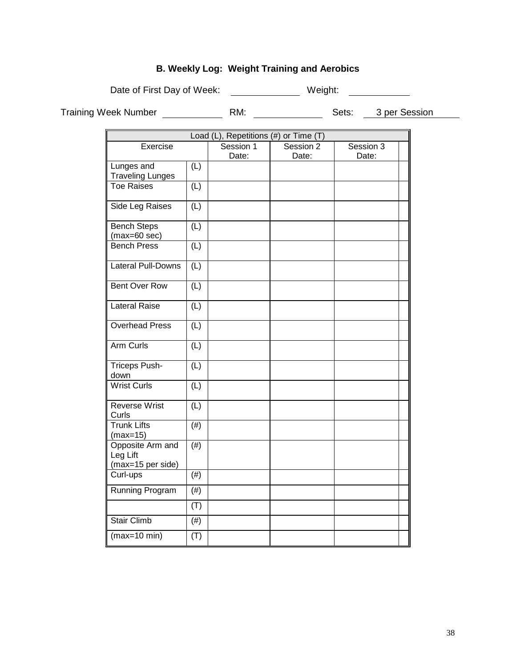# **B. Weekly Log: Weight Training and Aerobics**

Date of First Day of Week: \_\_\_\_\_\_\_\_\_\_\_\_\_\_\_\_ Weight: \_\_\_\_\_\_\_\_\_\_\_

Training Week Number RM: Sets: 3 per Session

| Load (L), Repetitions (#) or Time (T)             |                   |                    |                    |                    |
|---------------------------------------------------|-------------------|--------------------|--------------------|--------------------|
| Exercise                                          |                   | Session 1<br>Date: | Session 2<br>Date: | Session 3<br>Date: |
| Lunges and<br><b>Traveling Lunges</b>             | (L)               |                    |                    |                    |
| <b>Toe Raises</b>                                 | (L)               |                    |                    |                    |
| Side Leg Raises                                   | (L)               |                    |                    |                    |
| <b>Bench Steps</b><br>$(max=60 sec)$              | (L)               |                    |                    |                    |
| <b>Bench Press</b>                                | (L)               |                    |                    |                    |
| <b>Lateral Pull-Downs</b>                         | (L)               |                    |                    |                    |
| <b>Bent Over Row</b>                              | (L)               |                    |                    |                    |
| <b>Lateral Raise</b>                              | (L)               |                    |                    |                    |
| <b>Overhead Press</b>                             | (L)               |                    |                    |                    |
| Arm Curls                                         | (L)               |                    |                    |                    |
| <b>Triceps Push-</b><br>down                      | (L)               |                    |                    |                    |
| <b>Wrist Curls</b>                                | (L)               |                    |                    |                    |
| Reverse Wrist<br>Curls                            | (L)               |                    |                    |                    |
| <b>Trunk Lifts</b><br>$(max=15)$                  | $(\#)$            |                    |                    |                    |
| Opposite Arm and<br>Leg Lift<br>(max=15 per side) | $\overline{(\#)}$ |                    |                    |                    |
| Curl-ups                                          | (#)               |                    |                    |                    |
| Running Program                                   | $(\#)$            |                    |                    |                    |
|                                                   | (T)               |                    |                    |                    |
| <b>Stair Climb</b>                                | $(\#)$            |                    |                    |                    |
| $(max=10 min)$                                    | (T)               |                    |                    |                    |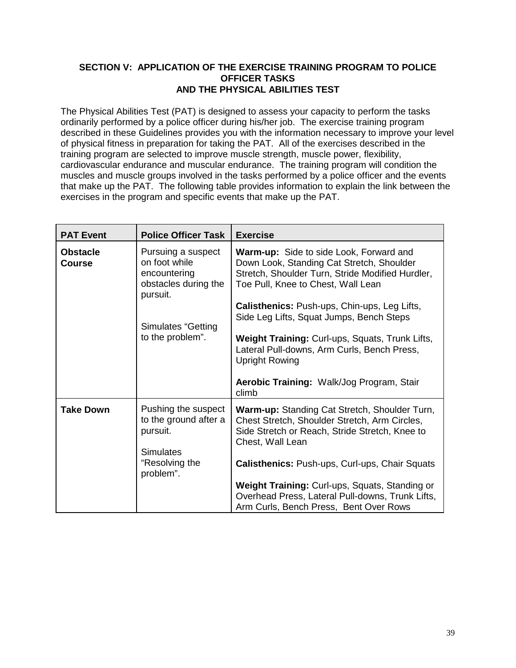# **SECTION V: APPLICATION OF THE EXERCISE TRAINING PROGRAM TO POLICE OFFICER TASKS AND THE PHYSICAL ABILITIES TEST**

The Physical Abilities Test (PAT) is designed to assess your capacity to perform the tasks ordinarily performed by a police officer during his/her job. The exercise training program described in these Guidelines provides you with the information necessary to improve your level of physical fitness in preparation for taking the PAT. All of the exercises described in the training program are selected to improve muscle strength, muscle power, flexibility, cardiovascular endurance and muscular endurance. The training program will condition the muscles and muscle groups involved in the tasks performed by a police officer and the events that make up the PAT. The following table provides information to explain the link between the exercises in the program and specific events that make up the PAT.

| <b>PAT Event</b>                 | <b>Police Officer Task</b>                                                              | <b>Exercise</b>                                                                                                                                                                       |
|----------------------------------|-----------------------------------------------------------------------------------------|---------------------------------------------------------------------------------------------------------------------------------------------------------------------------------------|
| <b>Obstacle</b><br><b>Course</b> | Pursuing a suspect<br>on foot while<br>encountering<br>obstacles during the<br>pursuit. | <b>Warm-up:</b> Side to side Look, Forward and<br>Down Look, Standing Cat Stretch, Shoulder<br>Stretch, Shoulder Turn, Stride Modified Hurdler,<br>Toe Pull, Knee to Chest, Wall Lean |
|                                  | <b>Simulates "Getting</b>                                                               | <b>Calisthenics: Push-ups, Chin-ups, Leg Lifts,</b><br>Side Leg Lifts, Squat Jumps, Bench Steps                                                                                       |
|                                  | to the problem".                                                                        | Weight Training: Curl-ups, Squats, Trunk Lifts,<br>Lateral Pull-downs, Arm Curls, Bench Press,<br><b>Upright Rowing</b>                                                               |
|                                  |                                                                                         | Aerobic Training: Walk/Jog Program, Stair<br>climb                                                                                                                                    |
| <b>Take Down</b>                 | Pushing the suspect<br>to the ground after a<br>pursuit.<br>Simulates                   | Warm-up: Standing Cat Stretch, Shoulder Turn,<br>Chest Stretch, Shoulder Stretch, Arm Circles,<br>Side Stretch or Reach, Stride Stretch, Knee to<br>Chest, Wall Lean                  |
|                                  | "Resolving the<br>problem".                                                             | <b>Calisthenics: Push-ups, Curl-ups, Chair Squats</b>                                                                                                                                 |
|                                  |                                                                                         | Weight Training: Curl-ups, Squats, Standing or<br>Overhead Press, Lateral Pull-downs, Trunk Lifts,<br>Arm Curls, Bench Press, Bent Over Rows                                          |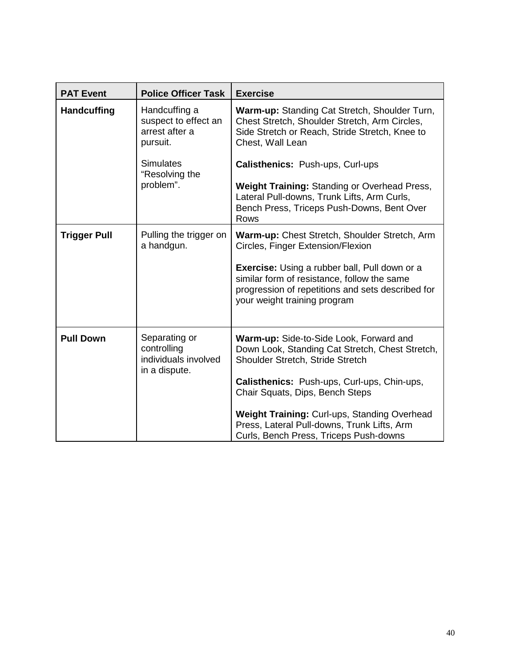| <b>PAT Event</b>    | <b>Police Officer Task</b>                                                              | <b>Exercise</b>                                                                                                                                                                                                 |
|---------------------|-----------------------------------------------------------------------------------------|-----------------------------------------------------------------------------------------------------------------------------------------------------------------------------------------------------------------|
| <b>Handcuffing</b>  | Handcuffing a<br>suspect to effect an<br>arrest after a<br>pursuit.<br><b>Simulates</b> | <b>Warm-up: Standing Cat Stretch, Shoulder Turn,</b><br>Chest Stretch, Shoulder Stretch, Arm Circles,<br>Side Stretch or Reach, Stride Stretch, Knee to<br>Chest, Wall Lean<br>Calisthenics: Push-ups, Curl-ups |
|                     | "Resolving the<br>problem".                                                             | <b>Weight Training: Standing or Overhead Press,</b>                                                                                                                                                             |
|                     |                                                                                         | Lateral Pull-downs, Trunk Lifts, Arm Curls,<br>Bench Press, Triceps Push-Downs, Bent Over<br>Rows                                                                                                               |
| <b>Trigger Pull</b> | Pulling the trigger on<br>a handgun.                                                    | Warm-up: Chest Stretch, Shoulder Stretch, Arm<br>Circles, Finger Extension/Flexion                                                                                                                              |
|                     |                                                                                         | <b>Exercise:</b> Using a rubber ball, Pull down or a<br>similar form of resistance, follow the same<br>progression of repetitions and sets described for<br>your weight training program                        |
| <b>Pull Down</b>    | Separating or<br>controlling<br>individuals involved<br>in a dispute.                   | Warm-up: Side-to-Side Look, Forward and<br>Down Look, Standing Cat Stretch, Chest Stretch,<br>Shoulder Stretch, Stride Stretch                                                                                  |
|                     |                                                                                         | Calisthenics: Push-ups, Curl-ups, Chin-ups,<br>Chair Squats, Dips, Bench Steps                                                                                                                                  |
|                     |                                                                                         | Weight Training: Curl-ups, Standing Overhead<br>Press, Lateral Pull-downs, Trunk Lifts, Arm<br>Curls, Bench Press, Triceps Push-downs                                                                           |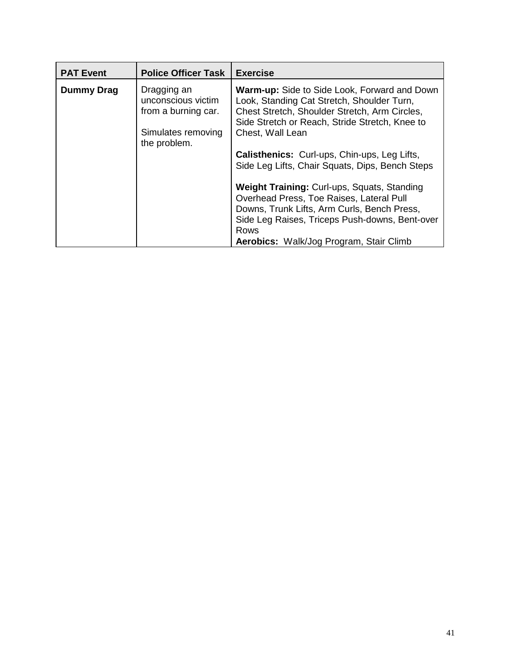| <b>PAT Event</b> | <b>Police Officer Task</b>                                                                     | <b>Exercise</b>                                                                                                                                                                                                                             |
|------------------|------------------------------------------------------------------------------------------------|---------------------------------------------------------------------------------------------------------------------------------------------------------------------------------------------------------------------------------------------|
| Dummy Drag       | Dragging an<br>unconscious victim<br>from a burning car.<br>Simulates removing<br>the problem. | <b>Warm-up:</b> Side to Side Look, Forward and Down<br>Look, Standing Cat Stretch, Shoulder Turn,<br>Chest Stretch, Shoulder Stretch, Arm Circles,<br>Side Stretch or Reach, Stride Stretch, Knee to<br>Chest, Wall Lean                    |
|                  |                                                                                                | <b>Calisthenics:</b> Curl-ups, Chin-ups, Leg Lifts,<br>Side Leg Lifts, Chair Squats, Dips, Bench Steps                                                                                                                                      |
|                  |                                                                                                | Weight Training: Curl-ups, Squats, Standing<br>Overhead Press, Toe Raises, Lateral Pull<br>Downs, Trunk Lifts, Arm Curls, Bench Press,<br>Side Leg Raises, Triceps Push-downs, Bent-over<br>Rows<br>Aerobics: Walk/Jog Program, Stair Climb |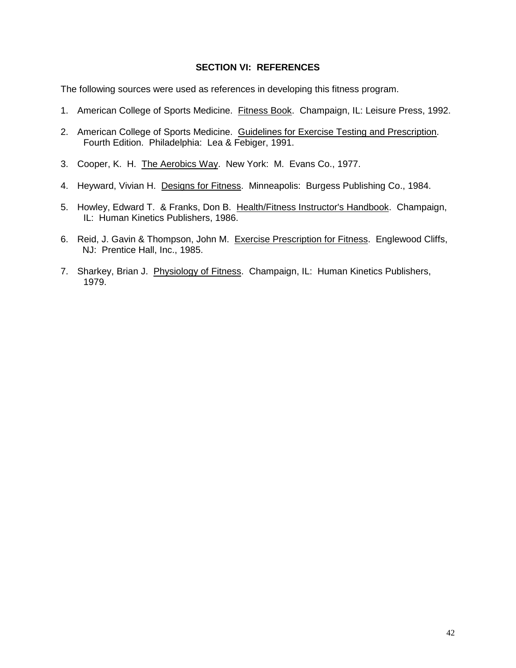#### **SECTION VI: REFERENCES**

The following sources were used as references in developing this fitness program.

- 1. American College of Sports Medicine. Fitness Book. Champaign, IL: Leisure Press, 1992.
- 2. American College of Sports Medicine. Guidelines for Exercise Testing and Prescription. Fourth Edition. Philadelphia: Lea & Febiger, 1991.
- 3. Cooper, K. H. The Aerobics Way. New York: M. Evans Co., 1977.
- 4. Heyward, Vivian H. Designs for Fitness. Minneapolis: Burgess Publishing Co., 1984.
- 5. Howley, Edward T. & Franks, Don B. Health/Fitness Instructor's Handbook. Champaign, IL: Human Kinetics Publishers, 1986.
- 6. Reid, J. Gavin & Thompson, John M. Exercise Prescription for Fitness. Englewood Cliffs, NJ: Prentice Hall, Inc., 1985.
- 7. Sharkey, Brian J. Physiology of Fitness. Champaign, IL: Human Kinetics Publishers, 1979.